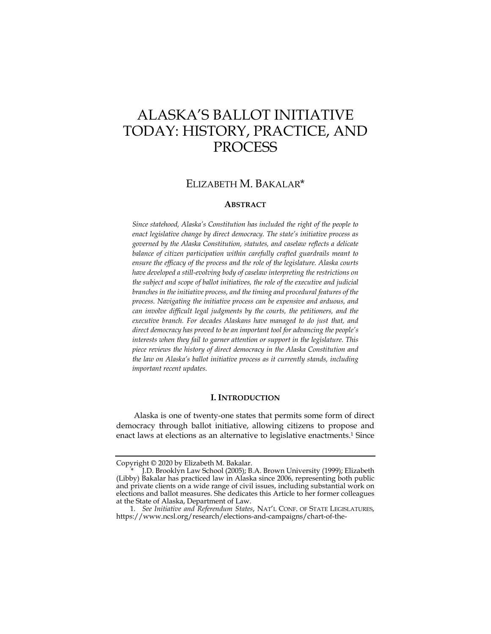# ALASKA'S BALLOT INITIATIVE TODAY: HISTORY, PRACTICE, AND **PROCESS**

## ELIZABETH M. BAKALAR\*

## **ABSTRACT**

*Since statehood, Alaska's Constitution has included the right of the people to enact legislative change by direct democracy. The state's initiative process as governed by the Alaska Constitution, statutes, and caselaw reflects a delicate balance of citizen participation within carefully crafted guardrails meant to ensure the efficacy of the process and the role of the legislature. Alaska courts have developed a still-evolving body of caselaw interpreting the restrictions on the subject and scope of ballot initiatives, the role of the executive and judicial branches in the initiative process, and the timing and procedural features of the process. Navigating the initiative process can be expensive and arduous, and can involve difficult legal judgments by the courts, the petitioners, and the executive branch. For decades Alaskans have managed to do just that, and direct democracy has proved to be an important tool for advancing the people's interests when they fail to garner attention or support in the legislature. This piece reviews the history of direct democracy in the Alaska Constitution and the law on Alaska's ballot initiative process as it currently stands, including important recent updates.* 

## **I. INTRODUCTION**

Alaska is one of twenty-one states that permits some form of direct democracy through ballot initiative, allowing citizens to propose and enact laws at elections as an alternative to legislative enactments.1 Since

Copyright © 2020 by Elizabeth M. Bakalar.

 <sup>\*</sup> J.D. Brooklyn Law School (2005); B.A. Brown University (1999); Elizabeth (Libby) Bakalar has practiced law in Alaska since 2006, representing both public and private clients on a wide range of civil issues, including substantial work on elections and ballot measures. She dedicates this Article to her former colleagues at the State of Alaska, Department of Law.

 <sup>1.</sup> *See Initiative and Referendum States*, NAT'L CONF. OF STATE LEGISLATURES, https://www.ncsl.org/research/elections-and-campaigns/chart-of-the-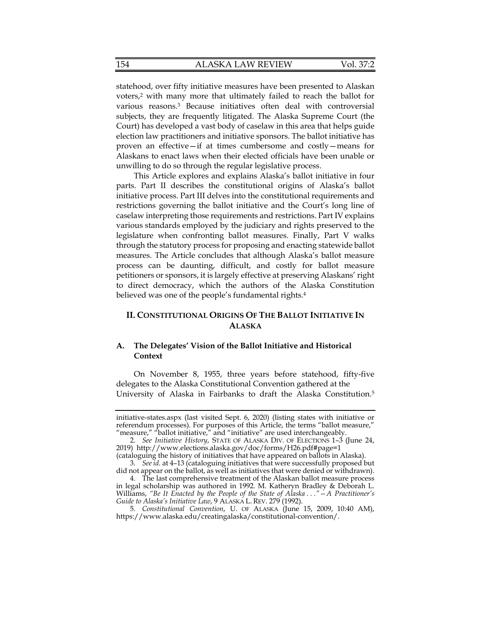statehood, over fifty initiative measures have been presented to Alaskan voters,2 with many more that ultimately failed to reach the ballot for various reasons.3 Because initiatives often deal with controversial subjects, they are frequently litigated. The Alaska Supreme Court (the Court) has developed a vast body of caselaw in this area that helps guide election law practitioners and initiative sponsors. The ballot initiative has proven an effective—if at times cumbersome and costly—means for Alaskans to enact laws when their elected officials have been unable or unwilling to do so through the regular legislative process.

This Article explores and explains Alaska's ballot initiative in four parts. Part II describes the constitutional origins of Alaska's ballot initiative process. Part III delves into the constitutional requirements and restrictions governing the ballot initiative and the Court's long line of caselaw interpreting those requirements and restrictions. Part IV explains various standards employed by the judiciary and rights preserved to the legislature when confronting ballot measures. Finally, Part V walks through the statutory process for proposing and enacting statewide ballot measures. The Article concludes that although Alaska's ballot measure process can be daunting, difficult, and costly for ballot measure petitioners or sponsors, it is largely effective at preserving Alaskans' right to direct democracy, which the authors of the Alaska Constitution believed was one of the people's fundamental rights.<sup>4</sup>

## **II. CONSTITUTIONAL ORIGINS OF THE BALLOT INITIATIVE IN ALASKA**

## **A. The Delegates' Vision of the Ballot Initiative and Historical Context**

On November 8, 1955, three years before statehood, fifty-five delegates to the Alaska Constitutional Convention gathered at the University of Alaska in Fairbanks to draft the Alaska Constitution.5

initiative-states.aspx (last visited Sept. 6, 2020) (listing states with initiative or referendum processes). For purposes of this Article, the terms "ballot measure," "measure," "ballot initiative," and "initiative" are used interchangeably.

 <sup>2.</sup> *See Initiative History*, STATE OF ALASKA DIV. OF ELECTIONS 1–3 (June 24, 2019) http://www.elections.alaska.gov/doc/forms/H26.pdf#page=1

<sup>(</sup>cataloguing the history of initiatives that have appeared on ballots in Alaska). 3. *See id.* at 4–13 (cataloguing initiatives that were successfully proposed but

did not appear on the ballot, as well as initiatives that were denied or withdrawn). 4. The last comprehensive treatment of the Alaskan ballot measure process

in legal scholarship was authored in 1992. M. Katheryn Bradley & Deborah L. Williams, *"Be It Enacted by the People of the State of Alaska . . ."—A Practitioner's Guide to Alaska's Initiative Law*, 9 ALASKA L. REV. 279 (1992).

 <sup>5.</sup> *Constitutional Convention*, U. OF ALASKA (June 15, 2009, 10:40 AM), https://www.alaska.edu/creatingalaska/constitutional-convention/.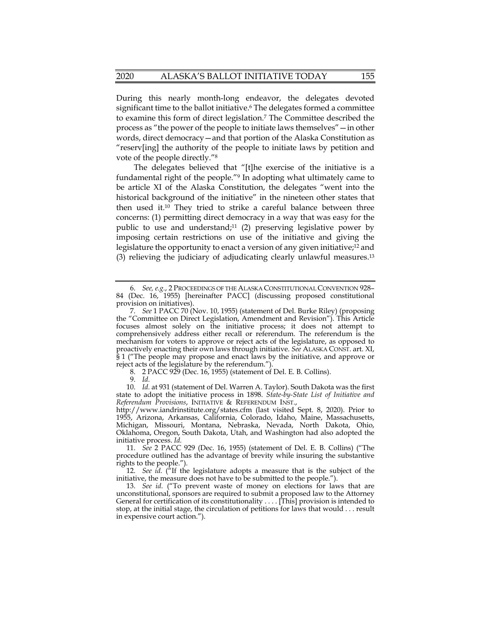During this nearly month-long endeavor, the delegates devoted significant time to the ballot initiative.<sup>6</sup> The delegates formed a committee to examine this form of direct legislation.7 The Committee described the process as "the power of the people to initiate laws themselves"—in other words, direct democracy—and that portion of the Alaska Constitution as "reserv[ing] the authority of the people to initiate laws by petition and vote of the people directly."8

The delegates believed that "[t]he exercise of the initiative is a fundamental right of the people."9 In adopting what ultimately came to be article XI of the Alaska Constitution, the delegates "went into the historical background of the initiative" in the nineteen other states that then used it.10 They tried to strike a careful balance between three concerns: (1) permitting direct democracy in a way that was easy for the public to use and understand;<sup>11</sup> (2) preserving legislative power by imposing certain restrictions on use of the initiative and giving the legislature the opportunity to enact a version of any given initiative;<sup>12</sup> and (3) relieving the judiciary of adjudicating clearly unlawful measures.13

8. 2 PACC 929 (Dec. 16, 1955) (statement of Del. E. B. Collins).

9. *Id.*

 <sup>6.</sup> *See, e.g.*, 2 PROCEEDINGS OF THE ALASKA CONSTITUTIONAL CONVENTION 928– 84 (Dec. 16, 1955) [hereinafter PACC] (discussing proposed constitutional provision on initiatives).

 <sup>7.</sup> *See* 1 PACC 70 (Nov. 10, 1955) (statement of Del. Burke Riley) (proposing the "Committee on Direct Legislation, Amendment and Revision"). This Article focuses almost solely on the initiative process; it does not attempt to comprehensively address either recall or referendum. The referendum is the mechanism for voters to approve or reject acts of the legislature, as opposed to proactively enacting their own laws through initiative. *See* ALASKA CONST. art. XI, § 1 ("The people may propose and enact laws by the initiative, and approve or reject acts of the legislature by the referendum.").

 <sup>10.</sup> *Id.* at 931 (statement of Del. Warren A. Taylor). South Dakota was the first state to adopt the initiative process in 1898. *State-by-State List of Initiative and Referendum Provisions*, INITIATIVE & REFERENDUM INST.,

http://www.iandrinstitute.org/states.cfm (last visited Sept. 8, 2020). Prior to 1955, Arizona, Arkansas, California, Colorado, Idaho, Maine, Massachusetts, Michigan, Missouri, Montana, Nebraska, Nevada, North Dakota, Ohio, Oklahoma, Oregon, South Dakota, Utah, and Washington had also adopted the initiative process. *Id.*

 <sup>11.</sup> *See* 2 PACC 929 (Dec. 16, 1955) (statement of Del. E. B. Collins) ("The procedure outlined has the advantage of brevity while insuring the substantive rights to the people.").

 <sup>12.</sup> *See id.* ("If the legislature adopts a measure that is the subject of the initiative, the measure does not have to be submitted to the people.").

 <sup>13.</sup> *See id.* ("To prevent waste of money on elections for laws that are unconstitutional, sponsors are required to submit a proposed law to the Attorney General for certification of its constitutionality . . . . [This] provision is intended to stop, at the initial stage, the circulation of petitions for laws that would . . . result in expensive court action.").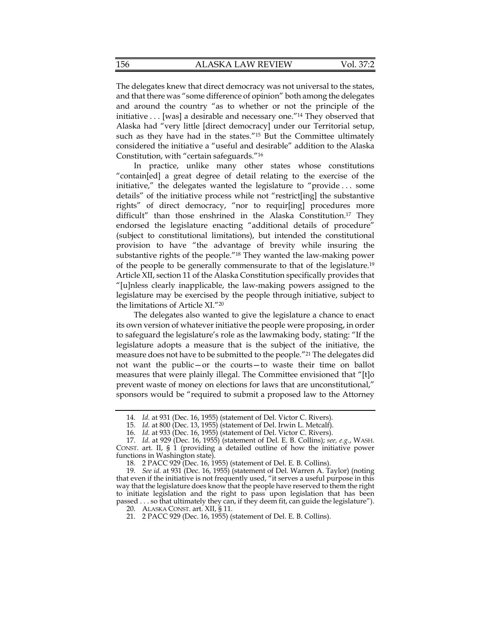The delegates knew that direct democracy was not universal to the states, and that there was "some difference of opinion" both among the delegates and around the country "as to whether or not the principle of the initiative . . . [was] a desirable and necessary one."14 They observed that Alaska had "very little [direct democracy] under our Territorial setup, such as they have had in the states."<sup>15</sup> But the Committee ultimately considered the initiative a "useful and desirable" addition to the Alaska Constitution, with "certain safeguards."16

In practice, unlike many other states whose constitutions "contain[ed] a great degree of detail relating to the exercise of the initiative," the delegates wanted the legislature to "provide . . . some details" of the initiative process while not "restrict[ing] the substantive rights" of direct democracy, "nor to requir[ing] procedures more difficult" than those enshrined in the Alaska Constitution.17 They endorsed the legislature enacting "additional details of procedure" (subject to constitutional limitations), but intended the constitutional provision to have "the advantage of brevity while insuring the substantive rights of the people."18 They wanted the law-making power of the people to be generally commensurate to that of the legislature.19 Article XII, section 11 of the Alaska Constitution specifically provides that "[u]nless clearly inapplicable, the law-making powers assigned to the legislature may be exercised by the people through initiative, subject to the limitations of Article XI."20

The delegates also wanted to give the legislature a chance to enact its own version of whatever initiative the people were proposing, in order to safeguard the legislature's role as the lawmaking body, stating: "If the legislature adopts a measure that is the subject of the initiative, the measure does not have to be submitted to the people."21 The delegates did not want the public—or the courts—to waste their time on ballot measures that were plainly illegal. The Committee envisioned that "[t]o prevent waste of money on elections for laws that are unconstitutional," sponsors would be "required to submit a proposed law to the Attorney

 <sup>14.</sup> *Id.* at 931 (Dec. 16, 1955) (statement of Del. Victor C. Rivers).

 <sup>15.</sup> *Id.* at 800 (Dec. 13, 1955) (statement of Del. Irwin L. Metcalf).

 <sup>16.</sup> *Id.* at 933 (Dec. 16, 1955) (statement of Del. Victor C. Rivers).

 <sup>17.</sup> *Id.* at 929 (Dec. 16, 1955) (statement of Del. E. B. Collins); *see, e.g.*, WASH. CONST. art. II,  $\S$  1 (providing a detailed outline of how the initiative power functions in Washington state).

 <sup>18. 2</sup> PACC 929 (Dec. 16, 1955) (statement of Del. E. B. Collins).

 <sup>19.</sup> *See id.* at 931 (Dec. 16, 1955) (statement of Del. Warren A. Taylor) (noting that even if the initiative is not frequently used, "it serves a useful purpose in this way that the legislature does know that the people have reserved to them the right to initiate legislation and the right to pass upon legislation that has been passed . . . so that ultimately they can, if they deem fit, can guide the legislature").

 <sup>20.</sup> ALASKA CONST. art. XII, § 11.

 <sup>21. 2</sup> PACC 929 (Dec. 16, 1955) (statement of Del. E. B. Collins).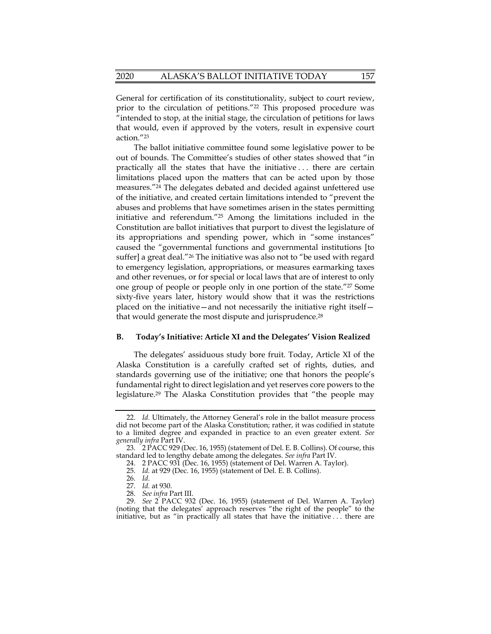General for certification of its constitutionality, subject to court review, prior to the circulation of petitions."22 This proposed procedure was "intended to stop, at the initial stage, the circulation of petitions for laws that would, even if approved by the voters, result in expensive court action."23

The ballot initiative committee found some legislative power to be out of bounds. The Committee's studies of other states showed that "in practically all the states that have the initiative . . . there are certain limitations placed upon the matters that can be acted upon by those measures."24 The delegates debated and decided against unfettered use of the initiative, and created certain limitations intended to "prevent the abuses and problems that have sometimes arisen in the states permitting initiative and referendum."25 Among the limitations included in the Constitution are ballot initiatives that purport to divest the legislature of its appropriations and spending power, which in "some instances" caused the "governmental functions and governmental institutions [to suffer] a great deal."26 The initiative was also not to "be used with regard to emergency legislation, appropriations, or measures earmarking taxes and other revenues, or for special or local laws that are of interest to only one group of people or people only in one portion of the state."27 Some sixty-five years later, history would show that it was the restrictions placed on the initiative—and not necessarily the initiative right itself that would generate the most dispute and jurisprudence.<sup>28</sup>

#### **B. Today's Initiative: Article XI and the Delegates' Vision Realized**

The delegates' assiduous study bore fruit. Today, Article XI of the Alaska Constitution is a carefully crafted set of rights, duties, and standards governing use of the initiative; one that honors the people's fundamental right to direct legislation and yet reserves core powers to the legislature.29 The Alaska Constitution provides that "the people may

 <sup>22.</sup> *Id.* Ultimately, the Attorney General's role in the ballot measure process did not become part of the Alaska Constitution; rather, it was codified in statute to a limited degree and expanded in practice to an even greater extent. *See generally infra* Part IV.

 <sup>23. 2</sup> PACC 929 (Dec. 16, 1955) (statement of Del. E. B. Collins). Of course, this standard led to lengthy debate among the delegates. *See infra* Part IV.

 <sup>24. 2</sup> PACC 931 (Dec. 16, 1955) (statement of Del. Warren A. Taylor).

 <sup>25.</sup> *Id.* at 929 (Dec. 16, 1955) (statement of Del. E. B. Collins).

 <sup>26.</sup> *Id.*

 <sup>27.</sup> *Id.* at 930.

 <sup>28.</sup> *See infra* Part III.

 <sup>29.</sup> *See* 2 PACC 932 (Dec. 16, 1955) (statement of Del. Warren A. Taylor) (noting that the delegates' approach reserves "the right of the people" to the initiative, but as "in practically all states that have the initiative . . . there are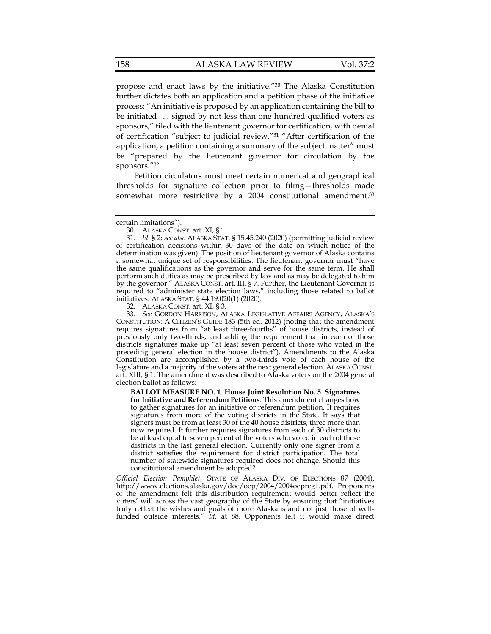propose and enact laws by the initiative."30 The Alaska Constitution further dictates both an application and a petition phase of the initiative process: "An initiative is proposed by an application containing the bill to be initiated . . . signed by not less than one hundred qualified voters as sponsors," filed with the lieutenant governor for certification, with denial of certification "subject to judicial review."31 "After certification of the application, a petition containing a summary of the subject matter" must be "prepared by the lieutenant governor for circulation by the sponsors."32

Petition circulators must meet certain numerical and geographical thresholds for signature collection prior to filing—thresholds made somewhat more restrictive by a 2004 constitutional amendment.<sup>33</sup>

32. ALASKA CONST. art. XI, § 3.

 33. *See* GORDON HARRISON, ALASKA LEGISLATIVE AFFAIRS AGENCY, ALASKA'S CONSTITUTION: A CITIZEN'S GUIDE 183 (5th ed. 2012) (noting that the amendment requires signatures from "at least three-fourths" of house districts, instead of previously only two-thirds, and adding the requirement that in each of those districts signatures make up "at least seven percent of those who voted in the preceding general election in the house district"). Amendments to the Alaska Constitution are accomplished by a two-thirds vote of each house of the legislature and a majority of the voters at the next general election. ALASKA CONST. art. XIII, § 1. The amendment was described to Alaska voters on the 2004 general election ballot as follows:

**BALLOT MEASURE NO. 1**. **House Joint Resolution No. 5**. **Signatures for Initiative and Referendum Petitions**: This amendment changes how to gather signatures for an initiative or referendum petition. It requires signatures from more of the voting districts in the State. It says that signers must be from at least 30 of the 40 house districts, three more than now required. It further requires signatures from each of 30 districts to be at least equal to seven percent of the voters who voted in each of these districts in the last general election. Currently only one signer from a district satisfies the requirement for district participation. The total number of statewide signatures required does not change. Should this constitutional amendment be adopted?

*Official Election Pamphlet*, STATE OF ALASKA DIV. OF ELECTIONS 87 (2004), http://www.elections.alaska.gov/doc/oep/2004/2004oepreg1.pdf. Proponents of the amendment felt this distribution requirement would better reflect the voters' will across the vast geography of the State by ensuring that "initiatives truly reflect the wishes and goals of more Alaskans and not just those of wellfunded outside interests." *Id.* at 88. Opponents felt it would make direct

certain limitations").

 <sup>30.</sup> ALASKA CONST. art. XI, § 1.

 <sup>31.</sup> *Id.* § 2; *see also* ALASKA STAT. § 15.45.240 (2020) (permitting judicial review of certification decisions within 30 days of the date on which notice of the determination was given). The position of lieutenant governor of Alaska contains a somewhat unique set of responsibilities. The lieutenant governor must "have the same qualifications as the governor and serve for the same term. He shall perform such duties as may be prescribed by law and as may be delegated to him by the governor." ALASKA CONST. art. III, § 7. Further, the Lieutenant Governor is required to "administer state election laws," including those related to ballot initiatives. ALASKA STAT. § 44.19.020(1) (2020).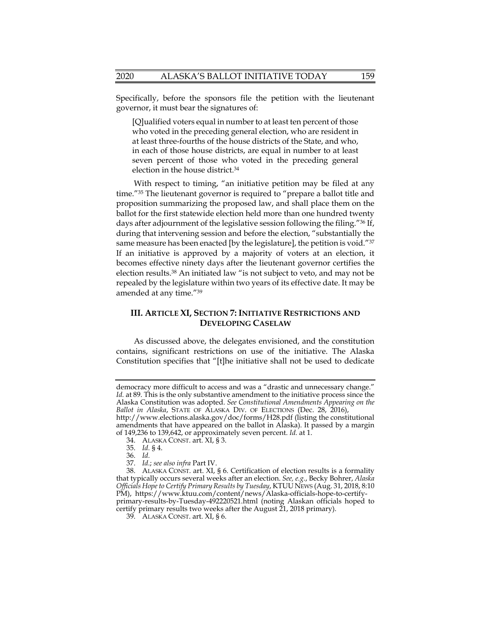Specifically, before the sponsors file the petition with the lieutenant governor, it must bear the signatures of:

[Q]ualified voters equal in number to at least ten percent of those who voted in the preceding general election, who are resident in at least three-fourths of the house districts of the State, and who, in each of those house districts, are equal in number to at least seven percent of those who voted in the preceding general election in the house district.34

With respect to timing, "an initiative petition may be filed at any time."35 The lieutenant governor is required to "prepare a ballot title and proposition summarizing the proposed law, and shall place them on the ballot for the first statewide election held more than one hundred twenty days after adjournment of the legislative session following the filing."36 If, during that intervening session and before the election, "substantially the same measure has been enacted [by the legislature], the petition is void."<sup>37</sup> If an initiative is approved by a majority of voters at an election, it becomes effective ninety days after the lieutenant governor certifies the election results.38 An initiated law "is not subject to veto, and may not be repealed by the legislature within two years of its effective date. It may be amended at any time."39

## **III. ARTICLE XI, SECTION 7: INITIATIVE RESTRICTIONS AND DEVELOPING CASELAW**

As discussed above, the delegates envisioned, and the constitution contains, significant restrictions on use of the initiative. The Alaska Constitution specifies that "[t]he initiative shall not be used to dedicate

democracy more difficult to access and was a "drastic and unnecessary change." *Id.* at 89. This is the only substantive amendment to the initiative process since the Alaska Constitution was adopted. *See Constitutional Amendments Appearing on the*  Ballot in Alaska, STATE OF ALASKA DIV. OF ELECTIONS (Dec. 28, 2016), http://www.elections.alaska.gov/doc/forms/H28.pdf (listing the constitutional

amendments that have appeared on the ballot in Alaska). It passed by a margin of 149,236 to 139,642, or approximately seven percent. *Id.* at 1.

 <sup>34.</sup> ALASKA CONST. art. XI, § 3.

 <sup>35.</sup> *Id.* § 4.

 <sup>36.</sup> *Id.*

 <sup>37.</sup> *Id.*; *see also infra* Part IV.

 <sup>38.</sup> ALASKA CONST. art. XI, § 6. Certification of election results is a formality that typically occurs several weeks after an election. *See, e.g.*, Becky Bohrer, *Alaska Officials Hope to Certify Primary Results by Tuesday*, KTUU NEWS (Aug. 31, 2018, 8:10 PM), https://www.ktuu.com/content/news/Alaska-officials-hope-to-certifyprimary-results-by-Tuesday-492220521.html (noting Alaskan officials hoped to

certify primary results two weeks after the August 21, 2018 primary). 39. ALASKA CONST. art. XI, § 6.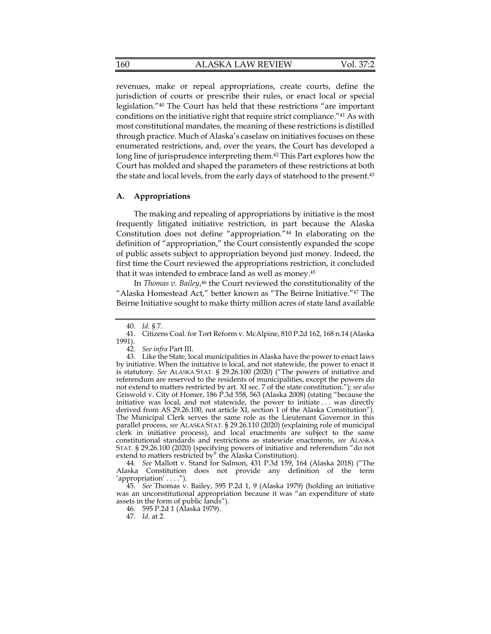revenues, make or repeal appropriations, create courts, define the jurisdiction of courts or prescribe their rules, or enact local or special legislation."40 The Court has held that these restrictions "are important conditions on the initiative right that require strict compliance."41 As with most constitutional mandates, the meaning of these restrictions is distilled through practice. Much of Alaska's caselaw on initiatives focuses on these enumerated restrictions, and, over the years, the Court has developed a long line of jurisprudence interpreting them.42 This Part explores how the Court has molded and shaped the parameters of these restrictions at both the state and local levels, from the early days of statehood to the present.<sup>43</sup>

#### **A. Appropriations**

The making and repealing of appropriations by initiative is the most frequently litigated initiative restriction, in part because the Alaska Constitution does not define "appropriation."44 In elaborating on the definition of "appropriation," the Court consistently expanded the scope of public assets subject to appropriation beyond just money. Indeed, the first time the Court reviewed the appropriations restriction, it concluded that it was intended to embrace land as well as money.45

In *Thomas v. Bailey*, 46 the Court reviewed the constitutionality of the "Alaska Homestead Act," better known as "The Beirne Initiative."47 The Beirne Initiative sought to make thirty million acres of state land available

 44. *See* Mallott v. Stand for Salmon, 431 P.3d 159, 164 (Alaska 2018) ("The Alaska Constitution does not provide any definition of the term 'appropriation' . . . .").

 45. *See* Thomas v. Bailey, 595 P.2d 1, 9 (Alaska 1979) (holding an initiative was an unconstitutional appropriation because it was "an expenditure of state assets in the form of public lands").

46. 595 P.2d 1 (Alaska 1979).

 <sup>40.</sup> *Id.* § 7.

 <sup>41.</sup> Citizens Coal. for Tort Reform v. McAlpine, 810 P.2d 162, 168 n.14 (Alaska 1991).

 <sup>42.</sup> *See infra* Part III.

 <sup>43.</sup> Like the State, local municipalities in Alaska have the power to enact laws by initiative. When the initiative is local, and not statewide, the power to enact it is statutory. *See* ALASKA STAT. § 29.26.100 (2020) ("The powers of initiative and referendum are reserved to the residents of municipalities, except the powers do not extend to matters restricted by art. XI sec. 7 of the state constitution."); *see also* Griswold v. City of Homer, 186 P.3d 558, 563 (Alaska 2008) (stating "because the initiative was local, and not statewide, the power to initiate . . . was directly derived from AS 29.26.100, not article XI, section 1 of the Alaska Constitution"). The Municipal Clerk serves the same role as the Lieutenant Governor in this parallel process, *see* ALASKA STAT. § 29.26.110 (2020) (explaining role of municipal clerk in initiative process), and local enactments are subject to the same constitutional standards and restrictions as statewide enactments, *see* ALASKA STAT. § 29.26.100 (2020) (specifying powers of initiative and referendum "do not extend to matters restricted by" the Alaska Constitution).

 <sup>47.</sup> *Id.* at 2.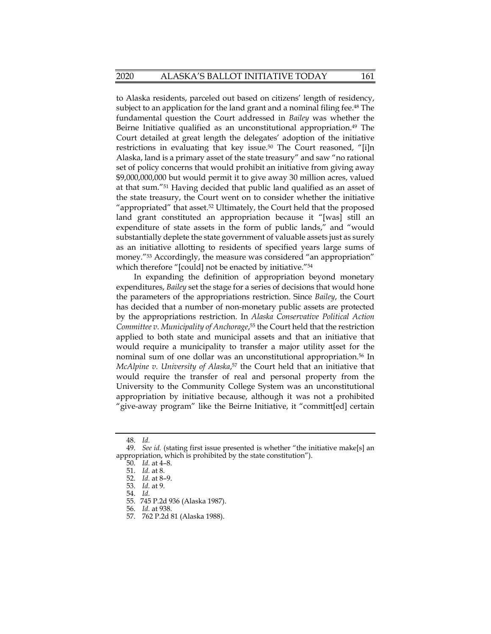to Alaska residents, parceled out based on citizens' length of residency, subject to an application for the land grant and a nominal filing fee.<sup>48</sup> The fundamental question the Court addressed in *Bailey* was whether the Beirne Initiative qualified as an unconstitutional appropriation.<sup>49</sup> The Court detailed at great length the delegates' adoption of the initiative restrictions in evaluating that key issue.<sup>50</sup> The Court reasoned, "[i]n Alaska, land is a primary asset of the state treasury" and saw "no rational set of policy concerns that would prohibit an initiative from giving away \$9,000,000,000 but would permit it to give away 30 million acres, valued at that sum."51 Having decided that public land qualified as an asset of the state treasury, the Court went on to consider whether the initiative "appropriated" that asset.52 Ultimately, the Court held that the proposed land grant constituted an appropriation because it "[was] still an expenditure of state assets in the form of public lands," and "would substantially deplete the state government of valuable assets just as surely as an initiative allotting to residents of specified years large sums of money.<sup>"53</sup> Accordingly, the measure was considered "an appropriation" which therefore "[could] not be enacted by initiative."<sup>54</sup>

In expanding the definition of appropriation beyond monetary expenditures, *Bailey* set the stage for a series of decisions that would hone the parameters of the appropriations restriction. Since *Bailey*, the Court has decided that a number of non-monetary public assets are protected by the appropriations restriction. In *Alaska Conservative Political Action Committee v. Municipality of Anchorage*, 55 the Court held that the restriction applied to both state and municipal assets and that an initiative that would require a municipality to transfer a major utility asset for the nominal sum of one dollar was an unconstitutional appropriation.<sup>56</sup> In *McAlpine v. University of Alaska*, 57 the Court held that an initiative that would require the transfer of real and personal property from the University to the Community College System was an unconstitutional appropriation by initiative because, although it was not a prohibited "give-away program" like the Beirne Initiative, it "committ[ed] certain

 <sup>48.</sup> *Id.*

 <sup>49.</sup> *See id.* (stating first issue presented is whether "the initiative make[s] an appropriation, which is prohibited by the state constitution").

 <sup>50.</sup> *Id.* at 4–8.

 <sup>51.</sup> *Id.* at 8.

 <sup>52.</sup> *Id.* at 8–9.

 <sup>53.</sup> *Id.* at 9.

 <sup>54.</sup> *Id.*

 <sup>55. 745</sup> P.2d 936 (Alaska 1987).

 <sup>56.</sup> *Id.* at 938.

 <sup>57. 762</sup> P.2d 81 (Alaska 1988).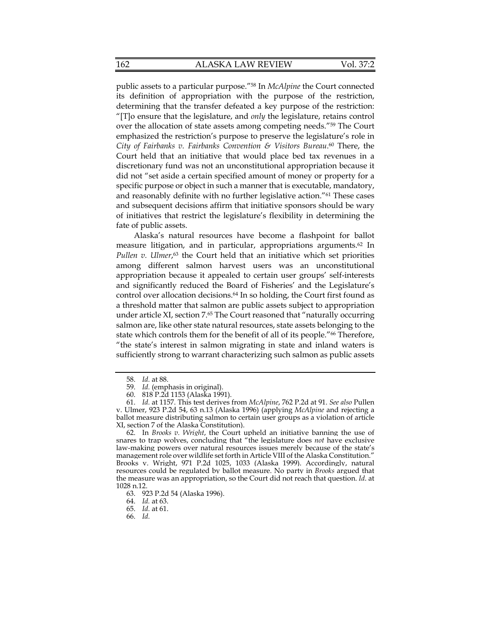public assets to a particular purpose."58 In *McAlpine* the Court connected its definition of appropriation with the purpose of the restriction, determining that the transfer defeated a key purpose of the restriction: "[T]o ensure that the legislature, and *only* the legislature, retains control over the allocation of state assets among competing needs."59 The Court emphasized the restriction's purpose to preserve the legislature's role in *City of Fairbanks v. Fairbanks Convention & Visitors Bureau*. 60 There, the Court held that an initiative that would place bed tax revenues in a discretionary fund was not an unconstitutional appropriation because it did not "set aside a certain specified amount of money or property for a specific purpose or object in such a manner that is executable, mandatory, and reasonably definite with no further legislative action."61 These cases and subsequent decisions affirm that initiative sponsors should be wary of initiatives that restrict the legislature's flexibility in determining the fate of public assets.

Alaska's natural resources have become a flashpoint for ballot measure litigation, and in particular, appropriations arguments.62 In Pullen v. Ulmer,<sup>63</sup> the Court held that an initiative which set priorities among different salmon harvest users was an unconstitutional appropriation because it appealed to certain user groups' self-interests and significantly reduced the Board of Fisheries' and the Legislature's control over allocation decisions.<sup>64</sup> In so holding, the Court first found as a threshold matter that salmon are public assets subject to appropriation under article XI, section 7.65 The Court reasoned that "naturally occurring salmon are, like other state natural resources, state assets belonging to the state which controls them for the benefit of all of its people."66 Therefore, "the state's interest in salmon migrating in state and inland waters is sufficiently strong to warrant characterizing such salmon as public assets

 <sup>58.</sup> *Id.* at 88.

 <sup>59.</sup> *Id.* (emphasis in original).

 <sup>60. 818</sup> P.2d 1153 (Alaska 1991).

 <sup>61.</sup> *Id.* at 1157. This test derives from *McAlpine*, 762 P.2d at 91. *See also* Pullen v. Ulmer, 923 P.2d 54, 63 n.13 (Alaska 1996) (applying *McAlpine* and rejecting a ballot measure distributing salmon to certain user groups as a violation of article XI, section 7 of the Alaska Constitution).

 <sup>62.</sup> In *Brooks v. Wright*, the Court upheld an initiative banning the use of snares to trap wolves, concluding that "the legislature does *not* have exclusive law-making powers over natural resources issues merely because of the state's management role over wildlife set forth in Article VIII of the Alaska Constitution." Brooks v. Wright, 971 P.2d 1025, 1033 (Alaska 1999). Accordingly, natural resources could be regulated by ballot measure. No party in *Brooks* argued that the measure was an appropriation, so the Court did not reach that question. *Id*. at 1028 n.12.

 <sup>63. 923</sup> P.2d 54 (Alaska 1996).

 <sup>64.</sup> *Id.* at 63.

 <sup>65.</sup> *Id.* at 61.

 <sup>66.</sup> *Id.*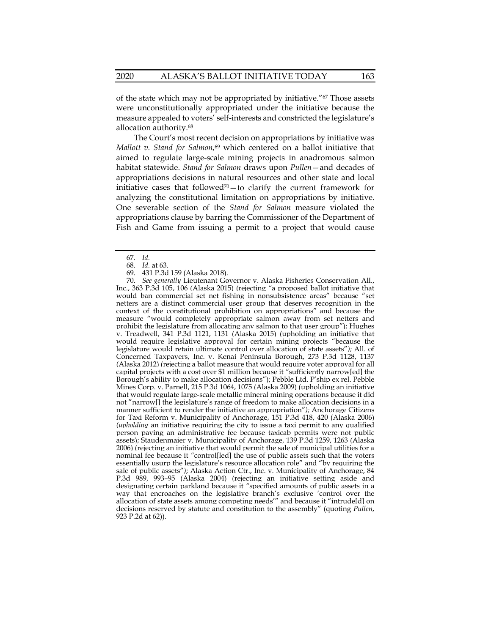of the state which may not be appropriated by initiative."67 Those assets were unconstitutionally appropriated under the initiative because the measure appealed to voters' self-interests and constricted the legislature's allocation authority.68

The Court's most recent decision on appropriations by initiative was *Mallott v. Stand for Salmon*,<sup>69</sup> which centered on a ballot initiative that aimed to regulate large-scale mining projects in anadromous salmon habitat statewide. *Stand for Salmon* draws upon *Pullen*—and decades of appropriations decisions in natural resources and other state and local initiative cases that followed<sup>70</sup> $-$  to clarify the current framework for analyzing the constitutional limitation on appropriations by initiative. One severable section of the *Stand for Salmon* measure violated the appropriations clause by barring the Commissioner of the Department of Fish and Game from issuing a permit to a project that would cause

69. 431 P.3d 159 (Alaska 2018).

 70. *See generally* Lieutenant Governor v. Alaska Fisheries Conservation All., Inc., 363 P.3d 105, 106 (Alaska 2015) (rejecting *"*a proposed ballot initiative that would ban commercial set net fishing in nonsubsistence areas" because "set netters are a distinct commercial user group that deserves recognition in the context of the constitutional prohibition on appropriations" and because the measure "would completely appropriate salmon away from set netters and prohibit the legislature from allocating any salmon to that user group"); Hughes v. Treadwell, 341 P.3d 1121, 1131 (Alaska 2015) (upholding an initiative that would require legislative approval for certain mining projects "because the legislature would retain ultimate control over allocation of state assets"*);* All. of Concerned Taxpayers, Inc. v. Kenai Peninsula Borough, 273 P.3d 1128, 1137 (Alaska 2012) (rejecting a ballot measure that would require voter approval for all capital projects with a cost over \$1 million because it *"*sufficiently narrow[ed] the Borough's ability to make allocation decisions"); Pebble Ltd. P'ship ex rel. Pebble Mines Corp. v. Parnell, 215 P.3d 1064, 1075 (Alaska 2009) (upholding an initiative that would regulate large-scale metallic mineral mining operations because it did not "narrow[] the legislature's range of freedom to make allocation decisions in a manner sufficient to render the initiative an appropriation"*);* Anchorage Citizens for Taxi Reform v. Municipality of Anchorage, 151 P.3d 418, 420 (Alaska 2006) (*upholding* an initiative requiring the city to issue a taxi permit to any qualified person paying an administrative fee because taxicab permits were not public assets); Staudenmaier v. Municipality of Anchorage, 139 P.3d 1259, 1263 (Alaska 2006) (rejecting an initiative that would permit the sale of municipal utilities for a nominal fee because it *"*control[led] the use of public assets such that the voters essentially usurp the legislature's resource allocation role" and "by requiring the sale of public assets"*)*; Alaska Action Ctr., Inc. v. Municipality of Anchorage, 84 P.3d 989, 993–95 (Alaska 2004) (rejecting an initiative setting aside and designating certain parkland because it *"s*pecified amounts of public assets in a way that encroaches on the legislative branch's exclusive 'control over the allocation of state assets among competing needs'" and because it "intrude[d] on decisions reserved by statute and constitution to the assembly" (quoting *Pullen*, 923 P.2d at 62)).

 <sup>67.</sup> *Id.*

 <sup>68.</sup> *Id.* at 63.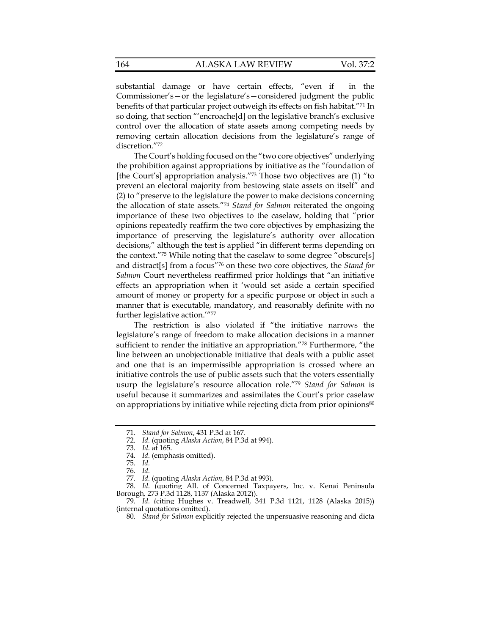| <b>ALASKA LAW REVIEW</b><br>164 | Vol. 37:2 |
|---------------------------------|-----------|
|---------------------------------|-----------|

substantial damage or have certain effects, "even if in the Commissioner's—or the legislature's—considered judgment the public benefits of that particular project outweigh its effects on fish habitat."71 In so doing, that section "'encroache[d] on the legislative branch's exclusive control over the allocation of state assets among competing needs by removing certain allocation decisions from the legislature's range of discretion."72

The Court's holding focused on the "two core objectives" underlying the prohibition against appropriations by initiative as the "foundation of [the Court's] appropriation analysis."73 Those two objectives are (1) "to prevent an electoral majority from bestowing state assets on itself" and (2) to "preserve to the legislature the power to make decisions concerning the allocation of state assets."74 *Stand for Salmon* reiterated the ongoing importance of these two objectives to the caselaw, holding that "prior opinions repeatedly reaffirm the two core objectives by emphasizing the importance of preserving the legislature's authority over allocation decisions," although the test is applied "in different terms depending on the context."75 While noting that the caselaw to some degree "obscure[s] and distract[s] from a focus"76 on these two core objectives, the *Stand for Salmon* Court nevertheless reaffirmed prior holdings that "an initiative effects an appropriation when it 'would set aside a certain specified amount of money or property for a specific purpose or object in such a manner that is executable, mandatory, and reasonably definite with no further legislative action.'"77

The restriction is also violated if "the initiative narrows the legislature's range of freedom to make allocation decisions in a manner sufficient to render the initiative an appropriation."78 Furthermore, "the line between an unobjectionable initiative that deals with a public asset and one that is an impermissible appropriation is crossed where an initiative controls the use of public assets such that the voters essentially usurp the legislature's resource allocation role."79 *Stand for Salmon* is useful because it summarizes and assimilates the Court's prior caselaw on appropriations by initiative while rejecting dicta from prior opinions<sup>80</sup>

 <sup>71.</sup> *Stand for Salmon*, 431 P.3d at 167.

 <sup>72.</sup> *Id.* (quoting *Alaska Action*, 84 P.3d at 994).

 <sup>73.</sup> *Id.* at 165.

 <sup>74.</sup> *Id.* (emphasis omitted).

 <sup>75.</sup> *Id.*

 <sup>76.</sup> *Id.*

 <sup>77.</sup> *Id.* (quoting *Alaska Action*, 84 P.3d at 993).

 <sup>78.</sup> *Id.* (quoting All. of Concerned Taxpayers, Inc. v. Kenai Peninsula Borough*,* 273 P.3d 1128, 1137 (Alaska 2012)).

 <sup>79.</sup> *Id.* (citing Hughes v. Treadwell*,* 341 P.3d 1121, 1128 (Alaska 2015)) (internal quotations omitted).

 <sup>80.</sup> *Stand for Salmon* explicitly rejected the unpersuasive reasoning and dicta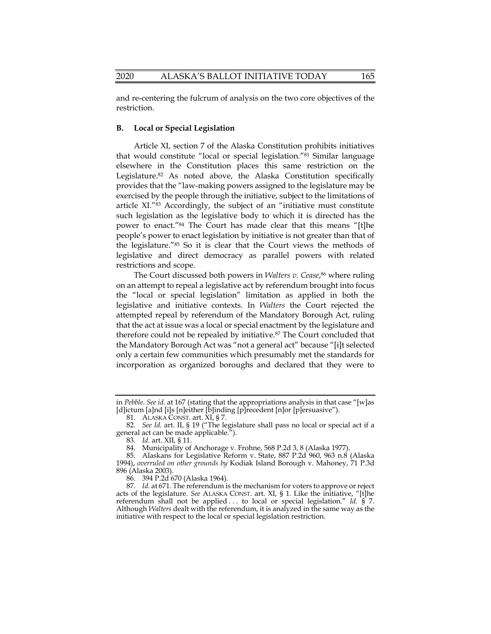and re-centering the fulcrum of analysis on the two core objectives of the restriction.

## **B. Local or Special Legislation**

Article XI, section 7 of the Alaska Constitution prohibits initiatives that would constitute "local or special legislation."81 Similar language elsewhere in the Constitution places this same restriction on the Legislature.82 As noted above, the Alaska Constitution specifically provides that the "law-making powers assigned to the legislature may be exercised by the people through the initiative, subject to the limitations of article XI."83 Accordingly, the subject of an "initiative must constitute such legislation as the legislative body to which it is directed has the power to enact."84 The Court has made clear that this means "[t]he people's power to enact legislation by initiative is not greater than that of the legislature."85 So it is clear that the Court views the methods of legislative and direct democracy as parallel powers with related restrictions and scope.

The Court discussed both powers in *Walters v. Cease*, 86 where ruling on an attempt to repeal a legislative act by referendum brought into focus the "local or special legislation" limitation as applied in both the legislative and initiative contexts. In *Walters* the Court rejected the attempted repeal by referendum of the Mandatory Borough Act, ruling that the act at issue was a local or special enactment by the legislature and therefore could not be repealed by initiative.87 The Court concluded that the Mandatory Borough Act was "not a general act" because "[i]t selected only a certain few communities which presumably met the standards for incorporation as organized boroughs and declared that they were to

86. 394 P.2d 670 (Alaska 1964).

 87. *Id.* at 671. The referendum is the mechanism for voters to approve or reject acts of the legislature. *See* ALASKA CONST. art. XI, § 1. Like the initiative, "[t]he referendum shall not be applied . . . to local or special legislation." *Id.* § 7. Although *Walters* dealt with the referendum, it is analyzed in the same way as the initiative with respect to the local or special legislation restriction.

in *Pebble*. *See id.* at 167 (stating that the appropriations analysis in that case "[w]as [d]ictum [a]nd [i]s [n]either [b]inding [p]recedent [n]or [p]ersuasive").

 <sup>81.</sup> ALASKA CONST. art. XI, § 7.

 <sup>82.</sup> *See Id.* art. II, § 19 ("The legislature shall pass no local or special act if a general act can be made applicable.").

 <sup>83.</sup> *Id.* art. XII, § 11.

 <sup>84.</sup> Municipality of Anchorage v. Frohne, 568 P.2d 3, 8 (Alaska 1977).

 <sup>85.</sup> Alaskans for Legislative Reform v. State, 887 P.2d 960, 963 n.8 (Alaska 1994), *overruled on other grounds by* Kodiak Island Borough v. Mahoney, 71 P.3d 896 (Alaska 2003).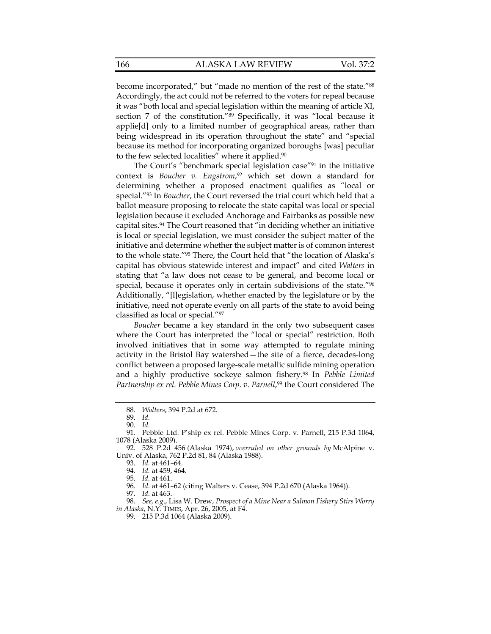become incorporated," but "made no mention of the rest of the state."88 Accordingly, the act could not be referred to the voters for repeal because it was "both local and special legislation within the meaning of article XI, section 7 of the constitution."<sup>89</sup> Specifically, it was "local because it applie[d] only to a limited number of geographical areas, rather than being widespread in its operation throughout the state" and "special because its method for incorporating organized boroughs [was] peculiar to the few selected localities" where it applied.<sup>90</sup>

The Court's "benchmark special legislation case"91 in the initiative context is *Boucher v. Engstrom*, 92 which set down a standard for determining whether a proposed enactment qualifies as "local or special."93 In *Boucher*, the Court reversed the trial court which held that a ballot measure proposing to relocate the state capital was local or special legislation because it excluded Anchorage and Fairbanks as possible new capital sites.94 The Court reasoned that "in deciding whether an initiative is local or special legislation, we must consider the subject matter of the initiative and determine whether the subject matter is of common interest to the whole state."95 There, the Court held that "the location of Alaska's capital has obvious statewide interest and impact" and cited *Walters* in stating that "a law does not cease to be general, and become local or special, because it operates only in certain subdivisions of the state."<sup>96</sup> Additionally, "[l]egislation, whether enacted by the legislature or by the initiative, need not operate evenly on all parts of the state to avoid being classified as local or special."97

*Boucher* became a key standard in the only two subsequent cases where the Court has interpreted the "local or special" restriction. Both involved initiatives that in some way attempted to regulate mining activity in the Bristol Bay watershed—the site of a fierce, decades-long conflict between a proposed large-scale metallic sulfide mining operation and a highly productive sockeye salmon fishery.98 In *Pebble Limited*  Partnership ex rel. Pebble Mines Corp. v. Parnell,<sup>99</sup> the Court considered The

 <sup>88.</sup> *Walters*, 394 P.2d at 672.

 <sup>89.</sup> *Id.*

 <sup>90.</sup> *Id.*

 <sup>91.</sup> Pebble Ltd. P'ship ex rel. Pebble Mines Corp. v. Parnell, 215 P.3d 1064, 1078 (Alaska 2009).

 <sup>92. 528</sup> P.2d 456 (Alaska 1974), *overruled on other grounds by* McAlpine v. Univ. of Alaska, 762 P.2d 81, 84 (Alaska 1988).

 <sup>93.</sup> *Id.* at 461–64.

 <sup>94.</sup> *Id.* at 459, 464.

 <sup>95.</sup> *Id.* at 461.

 <sup>96.</sup> *Id.* at 461–62 (citing Walters v. Cease, 394 P.2d 670 (Alaska 1964)).

 <sup>97.</sup> *Id.* at 463.

 <sup>98.</sup> *See, e.g*., Lisa W. Drew, *Prospect of a Mine Near a Salmon Fishery Stirs Worry in Alaska*, N.Y. TIMES, Apr. 26, 2005, at F4.

 <sup>99. 215</sup> P.3d 1064 (Alaska 2009).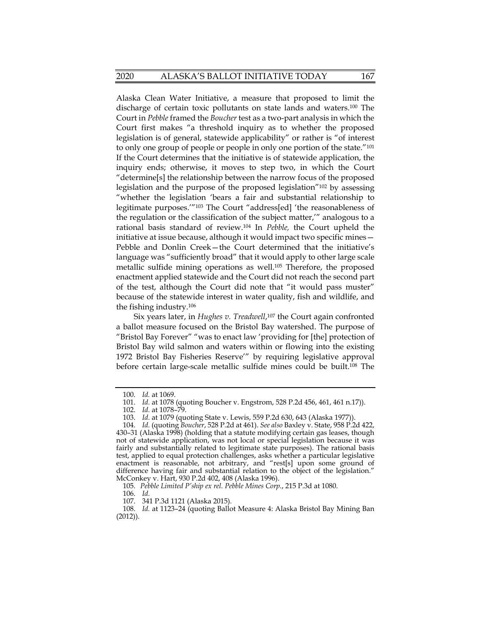Alaska Clean Water Initiative, a measure that proposed to limit the discharge of certain toxic pollutants on state lands and waters.100 The Court in *Pebble* framed the *Boucher* test as a two-part analysis in which the Court first makes "a threshold inquiry as to whether the proposed legislation is of general, statewide applicability" or rather is "of interest to only one group of people or people in only one portion of the state."101 If the Court determines that the initiative is of statewide application, the inquiry ends; otherwise, it moves to step two, in which the Court "determine[s] the relationship between the narrow focus of the proposed legislation and the purpose of the proposed legislation"102 by assessing "whether the legislation 'bears a fair and substantial relationship to legitimate purposes.'"103 The Court "address[ed] 'the reasonableness of the regulation or the classification of the subject matter,'" analogous to a rational basis standard of review.104 In *Pebble,* the Court upheld the initiative at issue because, although it would impact two specific mines— Pebble and Donlin Creek—the Court determined that the initiative's language was "sufficiently broad" that it would apply to other large scale metallic sulfide mining operations as well.105 Therefore, the proposed enactment applied statewide and the Court did not reach the second part of the test, although the Court did note that "it would pass muster" because of the statewide interest in water quality, fish and wildlife, and the fishing industry.106

Six years later, in *Hughes v. Treadwell*, 107 the Court again confronted a ballot measure focused on the Bristol Bay watershed. The purpose of "Bristol Bay Forever" "was to enact law 'providing for [the] protection of Bristol Bay wild salmon and waters within or flowing into the existing 1972 Bristol Bay Fisheries Reserve'" by requiring legislative approval before certain large-scale metallic sulfide mines could be built.108 The

 <sup>100.</sup> *Id.* at 1069.

 <sup>101.</sup> *Id.* at 1078 (quoting Boucher v. Engstrom, 528 P.2d 456, 461, 461 n.17)).

 <sup>102.</sup> *Id.* at 1078–79.

<sup>103.</sup> Id. at 1079 (quoting State v. Lewis, 559 P.2d 630, 643 (Alaska 1977)

 <sup>104.</sup> *Id.* (quoting *Boucher*, 528 P.2d at 461). *See also* Baxley v. State, 958 P.2d 422, 430–31 (Alaska 1998) (holding that a statute modifying certain gas leases, though not of statewide application, was not local or special legislation because it was fairly and substantially related to legitimate state purposes). The rational basis test, applied to equal protection challenges, asks whether a particular legislative enactment is reasonable, not arbitrary, and "rest[s] upon some ground of difference having fair and substantial relation to the object of the legislation." McConkey v. Hart, 930 P.2d 402, 408 (Alaska 1996).

 <sup>105.</sup> *Pebble Limited P'ship ex rel. Pebble Mines Corp.*, 215 P.3d at 1080.

 <sup>106.</sup> *Id.*

 <sup>107. 341</sup> P.3d 1121 (Alaska 2015).

 <sup>108.</sup> *Id.* at 1123–24 (quoting Ballot Measure 4: Alaska Bristol Bay Mining Ban (2012)).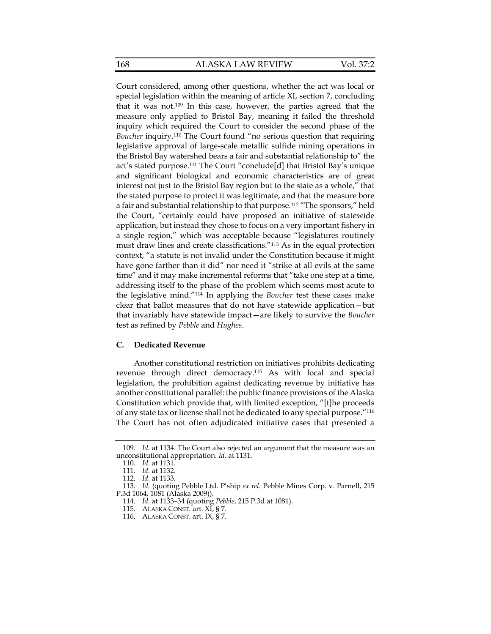168 ALASKA LAW REVIEW Vol. 37:2

Court considered, among other questions, whether the act was local or special legislation within the meaning of article XI, section 7, concluding that it was not.109 In this case, however, the parties agreed that the measure only applied to Bristol Bay, meaning it failed the threshold inquiry which required the Court to consider the second phase of the *Boucher* inquiry.110 The Court found "no serious question that requiring legislative approval of large-scale metallic sulfide mining operations in the Bristol Bay watershed bears a fair and substantial relationship to" the act's stated purpose.111 The Court "conclude[d] that Bristol Bay's unique and significant biological and economic characteristics are of great interest not just to the Bristol Bay region but to the state as a whole," that the stated purpose to protect it was legitimate, and that the measure bore a fair and substantial relationship to that purpose.112 "The sponsors," held the Court, "certainly could have proposed an initiative of statewide application, but instead they chose to focus on a very important fishery in a single region," which was acceptable because "legislatures routinely must draw lines and create classifications."113 As in the equal protection context, "a statute is not invalid under the Constitution because it might have gone farther than it did" nor need it "strike at all evils at the same time" and it may make incremental reforms that "take one step at a time, addressing itself to the phase of the problem which seems most acute to the legislative mind."114 In applying the *Boucher* test these cases make clear that ballot measures that do not have statewide application—but that invariably have statewide impact—are likely to survive the *Boucher* test as refined by *Pebble* and *Hughes*.

#### **C. Dedicated Revenue**

Another constitutional restriction on initiatives prohibits dedicating revenue through direct democracy.115 As with local and special legislation, the prohibition against dedicating revenue by initiative has another constitutional parallel: the public finance provisions of the Alaska Constitution which provide that, with limited exception, "[t]he proceeds of any state tax or license shall not be dedicated to any special purpose."116 The Court has not often adjudicated initiative cases that presented a

 <sup>109.</sup> *Id.* at 1134. The Court also rejected an argument that the measure was an unconstitutional appropriation. *Id.* at 1131.

 <sup>110.</sup> *Id.* at 1131.

 <sup>111.</sup> *Id.* at 1132.

 <sup>112.</sup> *Id.* at 1133.

 <sup>113.</sup> *Id.* (quoting Pebble Ltd. P'ship *ex rel.* Pebble Mines Corp. v. Parnell, 215 P.3d 1064, 1081 (Alaska 2009)).

 <sup>114.</sup> *Id.* at 1133–34 (quoting *Pebble*, 215 P.3d at 1081).

 <sup>115.</sup> ALASKA CONST. art. XI, § 7.

 <sup>116.</sup> ALASKA CONST. art. IX, § 7.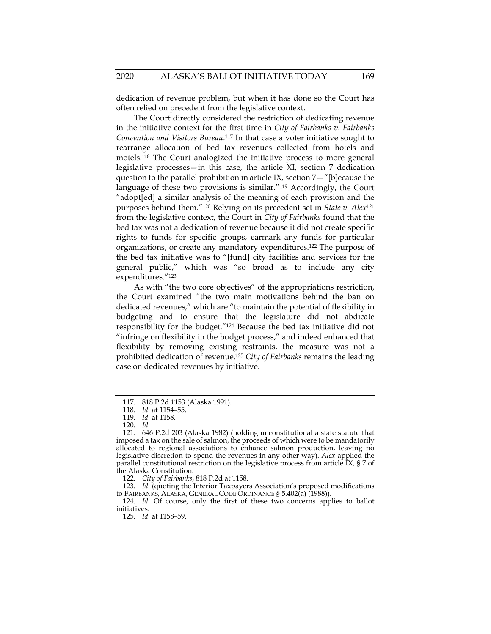dedication of revenue problem, but when it has done so the Court has often relied on precedent from the legislative context.

The Court directly considered the restriction of dedicating revenue in the initiative context for the first time in *City of Fairbanks v. Fairbanks Convention and Visitors Bureau*. 117 In that case a voter initiative sought to rearrange allocation of bed tax revenues collected from hotels and motels.118 The Court analogized the initiative process to more general legislative processes—in this case, the article XI, section 7 dedication question to the parallel prohibition in article IX, section 7—"[b]ecause the language of these two provisions is similar."119 Accordingly, the Court "adopt[ed] a similar analysis of the meaning of each provision and the purposes behind them."120 Relying on its precedent set in *State v. Alex*<sup>121</sup> from the legislative context, the Court in *City of Fairbanks* found that the bed tax was not a dedication of revenue because it did not create specific rights to funds for specific groups, earmark any funds for particular organizations, or create any mandatory expenditures.122 The purpose of the bed tax initiative was to "[fund] city facilities and services for the general public," which was "so broad as to include any city expenditures."123

As with "the two core objectives" of the appropriations restriction, the Court examined "the two main motivations behind the ban on dedicated revenues," which are "to maintain the potential of flexibility in budgeting and to ensure that the legislature did not abdicate responsibility for the budget."124 Because the bed tax initiative did not "infringe on flexibility in the budget process," and indeed enhanced that flexibility by removing existing restraints, the measure was not a prohibited dedication of revenue.125 *City of Fairbanks* remains the leading case on dedicated revenues by initiative.

122. *City of Fairbanks*, 818 P.2d at 1158.

 123. *Id.* (quoting the Interior Taxpayers Association's proposed modifications to FAIRBANKS, ALASKA, GENERAL CODE ORDINANCE § 5.402(a) (1988)).

 124. *Id.* Of course, only the first of these two concerns applies to ballot initiatives.

125. *Id.* at 1158–59.

 <sup>117. 818</sup> P.2d 1153 (Alaska 1991).

 <sup>118.</sup> *Id.* at 1154–55.

 <sup>119.</sup> *Id.* at 1158.

 <sup>120.</sup> *Id.*

 <sup>121. 646</sup> P.2d 203 (Alaska 1982) (holding unconstitutional a state statute that imposed a tax on the sale of salmon, the proceeds of which were to be mandatorily allocated to regional associations to enhance salmon production, leaving no legislative discretion to spend the revenues in any other way). *Alex* applied the parallel constitutional restriction on the legislative process from article IX, § 7 of the Alaska Constitution.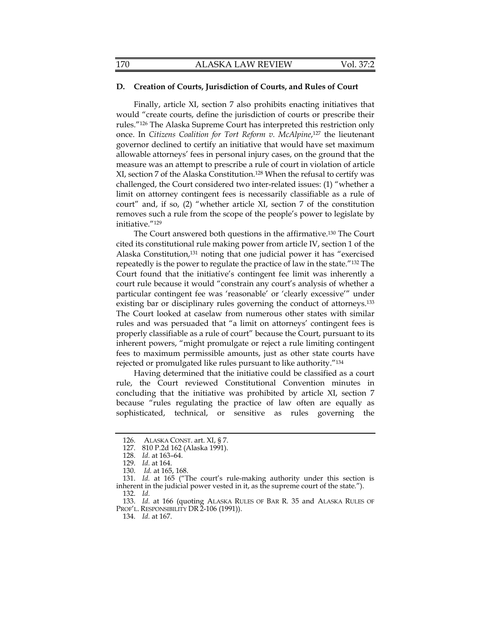## **D. Creation of Courts, Jurisdiction of Courts, and Rules of Court**

Finally, article XI, section 7 also prohibits enacting initiatives that would "create courts, define the jurisdiction of courts or prescribe their rules."126 The Alaska Supreme Court has interpreted this restriction only once. In *Citizens Coalition for Tort Reform v. McAlpine*,127 the lieutenant governor declined to certify an initiative that would have set maximum allowable attorneys' fees in personal injury cases, on the ground that the measure was an attempt to prescribe a rule of court in violation of article XI, section 7 of the Alaska Constitution.128 When the refusal to certify was challenged, the Court considered two inter-related issues: (1) "whether a limit on attorney contingent fees is necessarily classifiable as a rule of court" and, if so, (2) "whether article XI, section 7 of the constitution removes such a rule from the scope of the people's power to legislate by initiative."129

The Court answered both questions in the affirmative.130 The Court cited its constitutional rule making power from article IV, section 1 of the Alaska Constitution,<sup>131</sup> noting that one judicial power it has "exercised repeatedly is the power to regulate the practice of law in the state."132 The Court found that the initiative's contingent fee limit was inherently a court rule because it would "constrain any court's analysis of whether a particular contingent fee was 'reasonable' or 'clearly excessive'" under existing bar or disciplinary rules governing the conduct of attorneys.133 The Court looked at caselaw from numerous other states with similar rules and was persuaded that "a limit on attorneys' contingent fees is properly classifiable as a rule of court" because the Court, pursuant to its inherent powers, "might promulgate or reject a rule limiting contingent fees to maximum permissible amounts, just as other state courts have rejected or promulgated like rules pursuant to like authority."134

Having determined that the initiative could be classified as a court rule, the Court reviewed Constitutional Convention minutes in concluding that the initiative was prohibited by article XI, section 7 because "rules regulating the practice of law often are equally as sophisticated, technical, or sensitive as rules governing the

 <sup>126.</sup> ALASKA CONST. art. XI, § 7.

 <sup>127. 810</sup> P.2d 162 (Alaska 1991).

 <sup>128.</sup> *Id.* at 163–64.

 <sup>129.</sup> *Id.* at 164.

 <sup>130.</sup> *Id.* at 165, 168.

 <sup>131.</sup> *Id.* at 165 ("The court's rule-making authority under this section is inherent in the judicial power vested in it, as the supreme court of the state."). 132. *Id.*

 <sup>133.</sup> *Id.* at 166 (quoting ALASKA RULES OF BAR R. 35 and ALASKA RULES OF PROF'L. RESPONSIBILITY DR 2-106 (1991)).

 <sup>134.</sup> *Id.* at 167.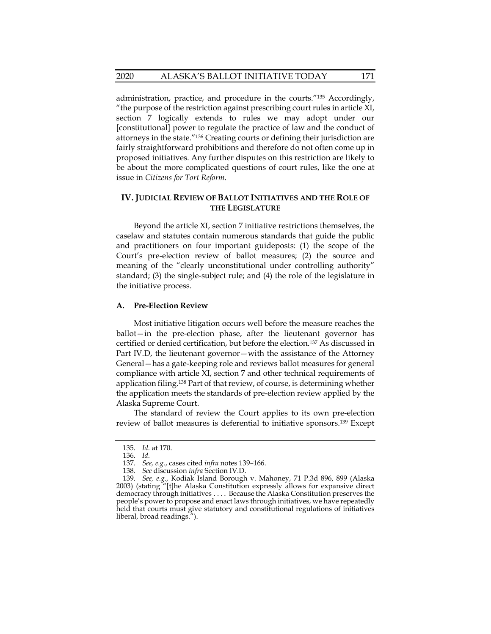administration, practice, and procedure in the courts."135 Accordingly, "the purpose of the restriction against prescribing court rules in article XI, section 7 logically extends to rules we may adopt under our [constitutional] power to regulate the practice of law and the conduct of attorneys in the state."136 Creating courts or defining their jurisdiction are fairly straightforward prohibitions and therefore do not often come up in proposed initiatives. Any further disputes on this restriction are likely to be about the more complicated questions of court rules, like the one at issue in *Citizens for Tort Reform*.

## **IV. JUDICIAL REVIEW OF BALLOT INITIATIVES AND THE ROLE OF THE LEGISLATURE**

Beyond the article XI, section 7 initiative restrictions themselves, the caselaw and statutes contain numerous standards that guide the public and practitioners on four important guideposts: (1) the scope of the Court's pre-election review of ballot measures; (2) the source and meaning of the "clearly unconstitutional under controlling authority" standard; (3) the single-subject rule; and (4) the role of the legislature in the initiative process.

#### **A. Pre-Election Review**

Most initiative litigation occurs well before the measure reaches the ballot—in the pre-election phase, after the lieutenant governor has certified or denied certification, but before the election.137 As discussed in Part IV.D, the lieutenant governor—with the assistance of the Attorney General—has a gate-keeping role and reviews ballot measures for general compliance with article XI, section 7 and other technical requirements of application filing.138 Part of that review, of course, is determining whether the application meets the standards of pre-election review applied by the Alaska Supreme Court.

The standard of review the Court applies to its own pre-election review of ballot measures is deferential to initiative sponsors.139 Except

 <sup>135.</sup> *Id.* at 170.

 <sup>136.</sup> *Id.*

 <sup>137.</sup> *See, e.g.*, cases cited *infra* notes 139–166.

 <sup>138.</sup> *See* discussion *infra* Section IV.D.

 <sup>139.</sup> *See, e.g.*, Kodiak Island Borough v. Mahoney, 71 P.3d 896, 899 (Alaska 2003) (stating "[t]he Alaska Constitution expressly allows for expansive direct democracy through initiatives . . . . Because the Alaska Constitution preserves the people's power to propose and enact laws through initiatives, we have repeatedly held that courts must give statutory and constitutional regulations of initiatives liberal, broad readings.").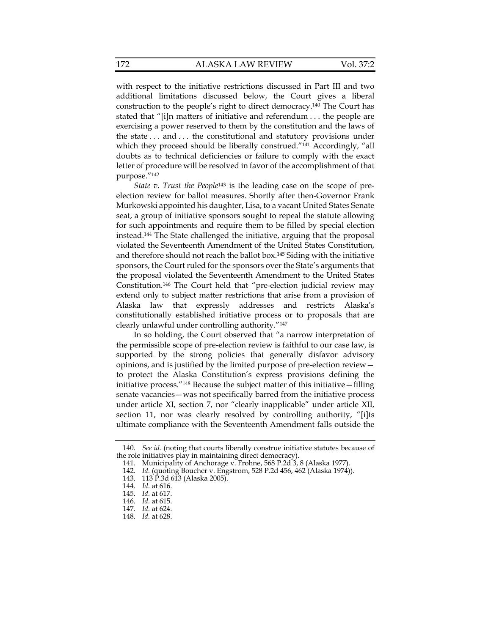with respect to the initiative restrictions discussed in Part III and two additional limitations discussed below, the Court gives a liberal construction to the people's right to direct democracy.140 The Court has stated that "[i]n matters of initiative and referendum . . . the people are exercising a power reserved to them by the constitution and the laws of the state . . . and . . . the constitutional and statutory provisions under which they proceed should be liberally construed."<sup>141</sup> Accordingly, "all doubts as to technical deficiencies or failure to comply with the exact letter of procedure will be resolved in favor of the accomplishment of that purpose."142

*State v. Trust the People*143 is the leading case on the scope of preelection review for ballot measures. Shortly after then-Governor Frank Murkowski appointed his daughter, Lisa, to a vacant United States Senate seat, a group of initiative sponsors sought to repeal the statute allowing for such appointments and require them to be filled by special election instead.144 The State challenged the initiative, arguing that the proposal violated the Seventeenth Amendment of the United States Constitution, and therefore should not reach the ballot box.145 Siding with the initiative sponsors, the Court ruled for the sponsors over the State's arguments that the proposal violated the Seventeenth Amendment to the United States Constitution.146 The Court held that "pre-election judicial review may extend only to subject matter restrictions that arise from a provision of Alaska law that expressly addresses and restricts Alaska's constitutionally established initiative process or to proposals that are clearly unlawful under controlling authority."147

In so holding, the Court observed that "a narrow interpretation of the permissible scope of pre-election review is faithful to our case law, is supported by the strong policies that generally disfavor advisory opinions, and is justified by the limited purpose of pre-election review to protect the Alaska Constitution's express provisions defining the initiative process."148 Because the subject matter of this initiative—filling senate vacancies—was not specifically barred from the initiative process under article XI, section 7, nor "clearly inapplicable" under article XII, section 11, nor was clearly resolved by controlling authority, "[i]ts ultimate compliance with the Seventeenth Amendment falls outside the

 <sup>140.</sup> *See id.* (noting that courts liberally construe initiative statutes because of the role initiatives play in maintaining direct democracy).

 <sup>141.</sup> Municipality of Anchorage v. Frohne, 568 P.2d 3, 8 (Alaska 1977).

 <sup>142.</sup> *Id.* (quoting Boucher v. Engstrom, 528 P.2d 456, 462 (Alaska 1974)).

 <sup>143. 113</sup> P.3d 613 (Alaska 2005).

 <sup>144.</sup> *Id.* at 616.

 <sup>145.</sup> *Id.* at 617.

 <sup>146.</sup> *Id.* at 615.

 <sup>147.</sup> *Id.* at 624.

 <sup>148.</sup> *Id.* at 628.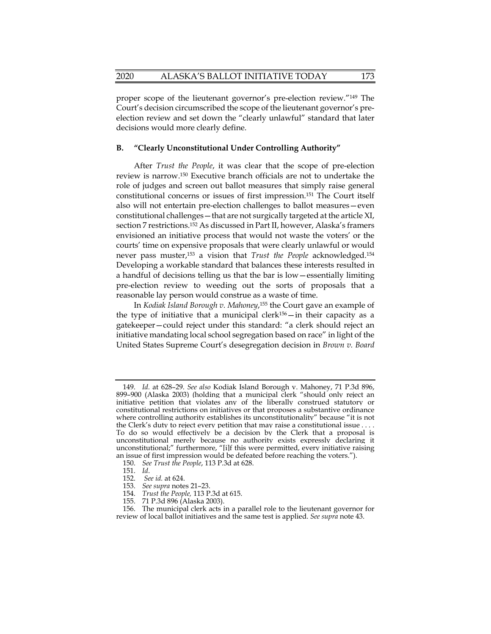proper scope of the lieutenant governor's pre-election review."149 The Court's decision circumscribed the scope of the lieutenant governor's preelection review and set down the "clearly unlawful" standard that later decisions would more clearly define.

#### **B. "Clearly Unconstitutional Under Controlling Authority"**

After *Trust the People*, it was clear that the scope of pre-election review is narrow.150 Executive branch officials are not to undertake the role of judges and screen out ballot measures that simply raise general constitutional concerns or issues of first impression.151 The Court itself also will not entertain pre-election challenges to ballot measures—even constitutional challenges—that are not surgically targeted at the article XI, section 7 restrictions.152 As discussed in Part II, however, Alaska's framers envisioned an initiative process that would not waste the voters' or the courts' time on expensive proposals that were clearly unlawful or would never pass muster,153 a vision that *Trust the People* acknowledged.154 Developing a workable standard that balances these interests resulted in a handful of decisions telling us that the bar is low—essentially limiting pre-election review to weeding out the sorts of proposals that a reasonable lay person would construe as a waste of time.

In *Kodiak Island Borough v. Mahoney*, 155 the Court gave an example of the type of initiative that a municipal clerk156—in their capacity as a gatekeeper—could reject under this standard: "a clerk should reject an initiative mandating local school segregation based on race" in light of the United States Supreme Court's desegregation decision in *Brown v. Board* 

 <sup>149.</sup> *Id.* at 628–29. *See also* Kodiak Island Borough v. Mahoney, 71 P.3d 896, 899–900 (Alaska 2003) (holding that a municipal clerk "should only reject an initiative petition that violates any of the liberally construed statutory or constitutional restrictions on initiatives or that proposes a substantive ordinance where controlling authority establishes its unconstitutionality" because "it is not the Clerk's duty to reject every petition that may raise a constitutional issue . . . . To do so would effectively be a decision by the Clerk that a proposal is unconstitutional merely because no authority exists expressly declaring it unconstitutional;" furthermore, "[i]f this were permitted, every initiative raising an issue of first impression would be defeated before reaching the voters.").

 <sup>150.</sup> *See Trust the People*, 113 P.3d at 628.

 <sup>151.</sup> *Id*.

 <sup>152.</sup> *See id.* at 624.

 <sup>153.</sup> *See supra* notes 21–23.

 <sup>154.</sup> *Trust the People,* 113 P.3d at 615.

 <sup>155. 71</sup> P.3d 896 (Alaska 2003).

 <sup>156.</sup> The municipal clerk acts in a parallel role to the lieutenant governor for review of local ballot initiatives and the same test is applied. *See supra* note 43.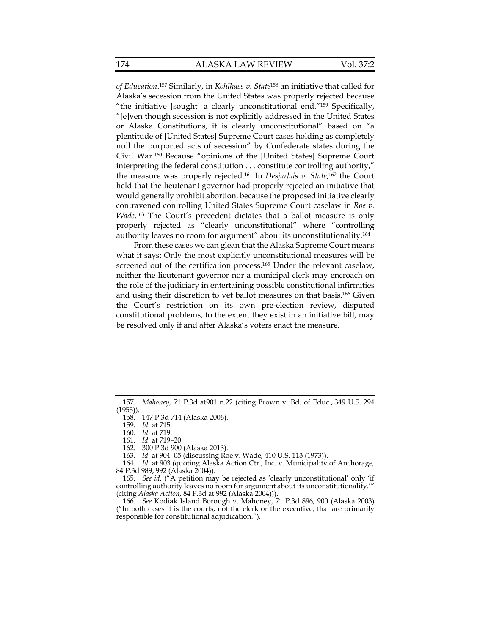*of Education*. 157 Similarly, in *Kohlhass v. State*158 an initiative that called for Alaska's secession from the United States was properly rejected because "the initiative [sought] a clearly unconstitutional end."159 Specifically, "[e]ven though secession is not explicitly addressed in the United States or Alaska Constitutions, it is clearly unconstitutional" based on "a plentitude of [United States] Supreme Court cases holding as completely null the purported acts of secession" by Confederate states during the Civil War.160 Because "opinions of the [United States] Supreme Court interpreting the federal constitution . . . constitute controlling authority," the measure was properly rejected.161 In *Desjarlais v. State*, 162 the Court held that the lieutenant governor had properly rejected an initiative that would generally prohibit abortion, because the proposed initiative clearly contravened controlling United States Supreme Court caselaw in *Roe v. Wade*. 163 The Court's precedent dictates that a ballot measure is only properly rejected as "clearly unconstitutional" where "controlling authority leaves no room for argument" about its unconstitutionality.164

From these cases we can glean that the Alaska Supreme Court means what it says: Only the most explicitly unconstitutional measures will be screened out of the certification process.<sup>165</sup> Under the relevant caselaw, neither the lieutenant governor nor a municipal clerk may encroach on the role of the judiciary in entertaining possible constitutional infirmities and using their discretion to vet ballot measures on that basis.166 Given the Court's restriction on its own pre-election review, disputed constitutional problems, to the extent they exist in an initiative bill, may be resolved only if and after Alaska's voters enact the measure.

 <sup>157.</sup> *Mahoney*, 71 P.3d at901 n.22 (citing Brown v. Bd. of Educ., 349 U.S. 294 (1955)).

 <sup>158. 147</sup> P.3d 714 (Alaska 2006).

 <sup>159.</sup> *Id.* at 715.

 <sup>160.</sup> *Id.* at 719.

 <sup>161.</sup> *Id.* at 719–20.

<sup>300</sup> P.3d 900 (Alaska 2013).

 <sup>163.</sup> *Id.* at 904–05 (discussing Roe v. Wade*,* 410 U.S. 113 (1973)).

 <sup>164.</sup> *Id.* at 903 (quoting Alaska Action Ctr., Inc. v. Municipality of Anchorage*,* 84 P.3d 989, 992 (Alaska 2004)).

 <sup>165.</sup> *See id.* ("A petition may be rejected as 'clearly unconstitutional' only 'if controlling authority leaves no room for argument about its unconstitutionality.'" (citing *Alaska Action*, 84 P.3d at 992 (Alaska 2004))).

 <sup>166.</sup> *See* Kodiak Island Borough v. Mahoney, 71 P.3d 896, 900 (Alaska 2003) ("In both cases it is the courts, not the clerk or the executive, that are primarily responsible for constitutional adjudication.").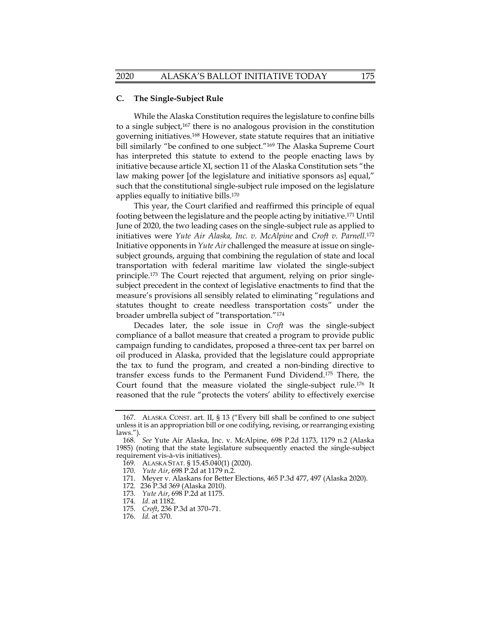## **C. The Single-Subject Rule**

While the Alaska Constitution requires the legislature to confine bills to a single subject,167 there is no analogous provision in the constitution governing initiatives.168 However, state statute requires that an initiative bill similarly "be confined to one subject."<sup>169</sup> The Alaska Supreme Court has interpreted this statute to extend to the people enacting laws by initiative because article XI, section 11 of the Alaska Constitution sets "the law making power [of the legislature and initiative sponsors as] equal," such that the constitutional single-subject rule imposed on the legislature applies equally to initiative bills.170

This year, the Court clarified and reaffirmed this principle of equal footing between the legislature and the people acting by initiative.171 Until June of 2020, the two leading cases on the single-subject rule as applied to initiatives were *Yute Air Alaska, Inc. v. McAlpine* and *Croft v. Parnell*.172 Initiative opponents in *Yute Air* challenged the measure at issue on singlesubject grounds, arguing that combining the regulation of state and local transportation with federal maritime law violated the single-subject principle.173 The Court rejected that argument, relying on prior singlesubject precedent in the context of legislative enactments to find that the measure's provisions all sensibly related to eliminating "regulations and statutes thought to create needless transportation costs" under the broader umbrella subject of "transportation."174

Decades later, the sole issue in *Croft* was the single-subject compliance of a ballot measure that created a program to provide public campaign funding to candidates, proposed a three-cent tax per barrel on oil produced in Alaska, provided that the legislature could appropriate the tax to fund the program, and created a non-binding directive to transfer excess funds to the Permanent Fund Dividend.175 There, the Court found that the measure violated the single-subject rule.176 It reasoned that the rule "protects the voters' ability to effectively exercise

- 171. Meyer v. Alaskans for Better Elections, 465 P.3d 477, 497 (Alaska 2020).
- 172. 236 P.3d 369 (Alaska 2010).
- 173. *Yute Air*, 698 P.2d at 1175.
	- 174. *Id.* at 1182.
- 175. *Croft*, 236 P.3d at 370–71.
- 176. *Id.* at 370.

 <sup>167.</sup> ALASKA CONST. art. II, § 13 ("Every bill shall be confined to one subject unless it is an appropriation bill or one codifying, revising, or rearranging existing laws.").

 <sup>168.</sup> *See* Yute Air Alaska, Inc. v. McAlpine, 698 P.2d 1173, 1179 n.2 (Alaska 1985) (noting that the state legislature subsequently enacted the single-subject requirement vis-à-vis initiatives).

<sup>169</sup>*.* ALASKA STAT. § 15.45.040(1) (2020).

 <sup>170.</sup> *Yute Air*, 698 P.2d at 1179 n.2.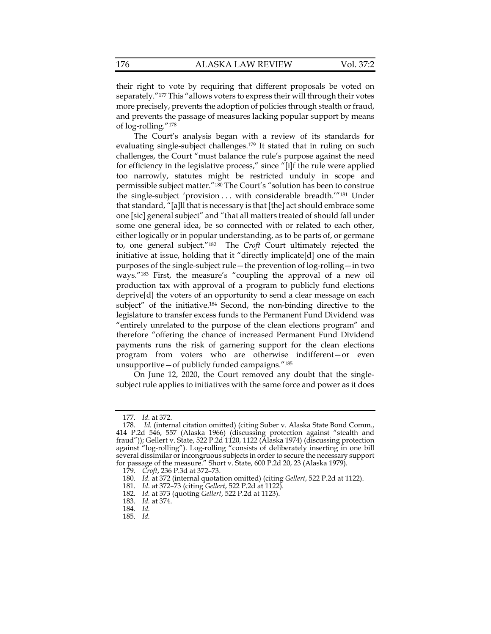their right to vote by requiring that different proposals be voted on separately."<sup>177</sup> This "allows voters to express their will through their votes more precisely, prevents the adoption of policies through stealth or fraud, and prevents the passage of measures lacking popular support by means of log-rolling."178

The Court's analysis began with a review of its standards for evaluating single-subject challenges.<sup>179</sup> It stated that in ruling on such challenges, the Court "must balance the rule's purpose against the need for efficiency in the legislative process," since "[i]f the rule were applied too narrowly, statutes might be restricted unduly in scope and permissible subject matter."180 The Court's "solution has been to construe the single-subject 'provision . . . with considerable breadth.'"181 Under that standard, "[a]ll that is necessary is that [the] act should embrace some one [sic] general subject" and "that all matters treated of should fall under some one general idea, be so connected with or related to each other, either logically or in popular understanding, as to be parts of, or germane to, one general subject."182 The *Croft* Court ultimately rejected the initiative at issue, holding that it "directly implicate[d] one of the main purposes of the single-subject rule—the prevention of log-rolling—in two ways."183 First, the measure's "coupling the approval of a new oil production tax with approval of a program to publicly fund elections deprive[d] the voters of an opportunity to send a clear message on each subject" of the initiative.<sup>184</sup> Second, the non-binding directive to the legislature to transfer excess funds to the Permanent Fund Dividend was "entirely unrelated to the purpose of the clean elections program" and therefore "offering the chance of increased Permanent Fund Dividend payments runs the risk of garnering support for the clean elections program from voters who are otherwise indifferent—or even unsupportive—of publicly funded campaigns."185

On June 12, 2020, the Court removed any doubt that the singlesubject rule applies to initiatives with the same force and power as it does

 <sup>177.</sup> *Id.* at 372.

 <sup>178.</sup> *Id.* (internal citation omitted) (citing Suber v. Alaska State Bond Comm., 414 P.2d 546, 557 (Alaska 1966) (discussing protection against "stealth and fraud")); Gellert v. State, 522 P.2d 1120, 1122 (Alaska 1974) (discussing protection against "log-rolling"). Log-rolling "consists of deliberately inserting in one bill several dissimilar or incongruous subjects in order to secure the necessary support for passage of the measure." Short v. State, 600 P.2d 20, 23 (Alaska 1979).

 <sup>179.</sup> *Croft*, 236 P.3d at 372–73.

<sup>180</sup>*. Id.* at 372 (internal quotation omitted) (citing *Gellert*, 522 P.2d at 1122).

 <sup>181.</sup> *Id.* at 372–73 (citing *Gellert*, 522 P.2d at 1122).

 <sup>182.</sup> *Id.* at 373 (quoting *Gellert*, 522 P.2d at 1123).

 <sup>183.</sup> *Id.* at 374.

 <sup>184.</sup> *Id.*

 <sup>185.</sup> *Id.*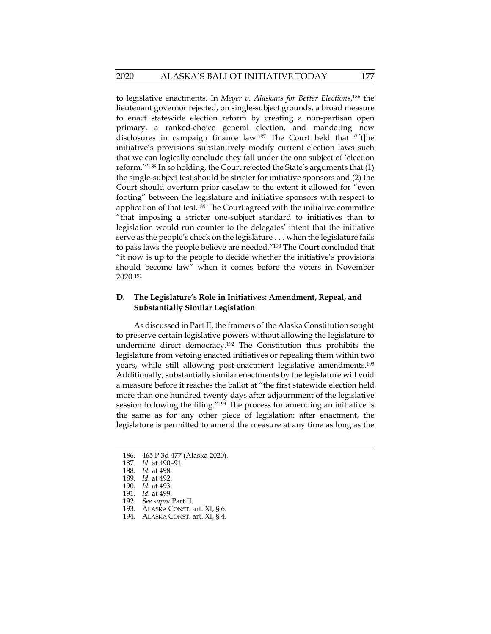to legislative enactments. In *Meyer v. Alaskans for Better Elections*, 186 the lieutenant governor rejected, on single-subject grounds, a broad measure to enact statewide election reform by creating a non-partisan open primary, a ranked-choice general election, and mandating new disclosures in campaign finance law.187 The Court held that "[t]he initiative's provisions substantively modify current election laws such that we can logically conclude they fall under the one subject of 'election reform.'"188 In so holding, the Court rejected the State's arguments that (1) the single-subject test should be stricter for initiative sponsors and (2) the Court should overturn prior caselaw to the extent it allowed for "even footing" between the legislature and initiative sponsors with respect to application of that test.189 The Court agreed with the initiative committee "that imposing a stricter one-subject standard to initiatives than to legislation would run counter to the delegates' intent that the initiative serve as the people's check on the legislature . . . when the legislature fails to pass laws the people believe are needed."190 The Court concluded that "it now is up to the people to decide whether the initiative's provisions should become law" when it comes before the voters in November 2020.191

## **D. The Legislature's Role in Initiatives: Amendment, Repeal, and Substantially Similar Legislation**

As discussed in Part II, the framers of the Alaska Constitution sought to preserve certain legislative powers without allowing the legislature to undermine direct democracy.192 The Constitution thus prohibits the legislature from vetoing enacted initiatives or repealing them within two years, while still allowing post-enactment legislative amendments.193 Additionally, substantially similar enactments by the legislature will void a measure before it reaches the ballot at "the first statewide election held more than one hundred twenty days after adjournment of the legislative session following the filing."<sup>194</sup> The process for amending an initiative is the same as for any other piece of legislation: after enactment, the legislature is permitted to amend the measure at any time as long as the

 <sup>186. 465</sup> P.3d 477 (Alaska 2020).

 <sup>187.</sup> *Id.* at 490–91.

 <sup>188.</sup> *Id.* at 498.

 <sup>189.</sup> *Id.* at 492.

 <sup>190.</sup> *Id.* at 493.

 <sup>191.</sup> *Id.* at 499.

 <sup>192.</sup> *See supra* Part II.

 <sup>193.</sup> ALASKA CONST. art. XI, § 6.

 <sup>194.</sup> ALASKA CONST. art. XI, § 4.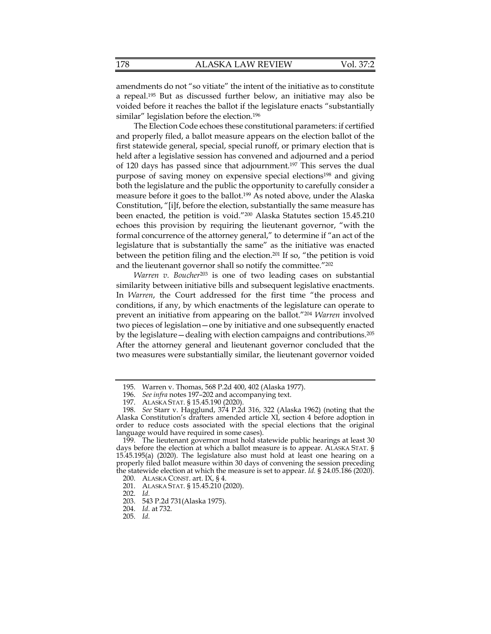amendments do not "so vitiate" the intent of the initiative as to constitute a repeal.195 But as discussed further below, an initiative may also be voided before it reaches the ballot if the legislature enacts "substantially similar" legislation before the election.<sup>196</sup>

The Election Code echoes these constitutional parameters: if certified and properly filed, a ballot measure appears on the election ballot of the first statewide general, special, special runoff, or primary election that is held after a legislative session has convened and adjourned and a period of 120 days has passed since that adjournment.197 This serves the dual purpose of saving money on expensive special elections<sup>198</sup> and giving both the legislature and the public the opportunity to carefully consider a measure before it goes to the ballot.199 As noted above, under the Alaska Constitution, "[i]f, before the election, substantially the same measure has been enacted, the petition is void."200 Alaska Statutes section 15.45.210 echoes this provision by requiring the lieutenant governor, "with the formal concurrence of the attorney general," to determine if "an act of the legislature that is substantially the same" as the initiative was enacted between the petition filing and the election.201 If so, "the petition is void and the lieutenant governor shall so notify the committee."202

*Warren v. Boucher*203 is one of two leading cases on substantial similarity between initiative bills and subsequent legislative enactments. In *Warren*, the Court addressed for the first time "the process and conditions, if any, by which enactments of the legislature can operate to prevent an initiative from appearing on the ballot."204 *Warren* involved two pieces of legislation—one by initiative and one subsequently enacted by the legislature—dealing with election campaigns and contributions.205 After the attorney general and lieutenant governor concluded that the two measures were substantially similar, the lieutenant governor voided

204. *Id.* at 732.

 <sup>195.</sup> Warren v. Thomas, 568 P.2d 400, 402 (Alaska 1977).

 <sup>196.</sup> *See infra* notes 197–202 and accompanying text.

 <sup>197.</sup> ALASKA STAT. § 15.45.190 (2020).

 <sup>198.</sup> *See* Starr v. Hagglund, 374 P.2d 316, 322 (Alaska 1962) (noting that the Alaska Constitution's drafters amended article XI, section 4 before adoption in order to reduce costs associated with the special elections that the original language would have required in some cases).

 <sup>199.</sup> The lieutenant governor must hold statewide public hearings at least 30 days before the election at which a ballot measure is to appear. ALASKA STAT. § 15.45.195(a) (2020). The legislature also must hold at least one hearing on a properly filed ballot measure within 30 days of convening the session preceding the statewide election at which the measure is set to appear. *Id.* § 24.05.186 (2020).

 <sup>200.</sup> ALASKA CONST. art. IX, § 4.

 <sup>201.</sup> ALASKA STAT. § 15.45.210 (2020).

 <sup>202.</sup> *Id.*

 <sup>203. 543</sup> P.2d 731(Alaska 1975).

 <sup>205.</sup> *Id.*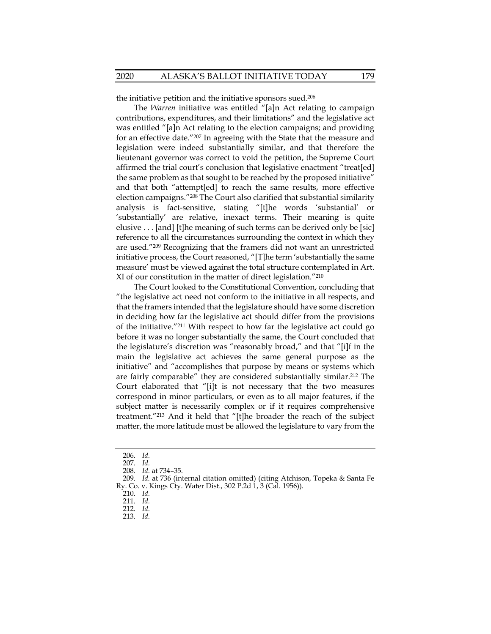the initiative petition and the initiative sponsors sued.206

The *Warren* initiative was entitled "[a]n Act relating to campaign contributions, expenditures, and their limitations" and the legislative act was entitled "[a]n Act relating to the election campaigns; and providing for an effective date."207 In agreeing with the State that the measure and legislation were indeed substantially similar, and that therefore the lieutenant governor was correct to void the petition, the Supreme Court affirmed the trial court's conclusion that legislative enactment "treat[ed] the same problem as that sought to be reached by the proposed initiative" and that both "attempt[ed] to reach the same results, more effective election campaigns."208 The Court also clarified that substantial similarity analysis is fact-sensitive, stating "[t]he words 'substantial' or 'substantially' are relative, inexact terms. Their meaning is quite elusive . . . [and] [t]he meaning of such terms can be derived only be [sic] reference to all the circumstances surrounding the context in which they are used."209 Recognizing that the framers did not want an unrestricted initiative process, the Court reasoned, "[T]he term 'substantially the same measure' must be viewed against the total structure contemplated in Art. XI of our constitution in the matter of direct legislation."210

The Court looked to the Constitutional Convention, concluding that "the legislative act need not conform to the initiative in all respects, and that the framers intended that the legislature should have some discretion in deciding how far the legislative act should differ from the provisions of the initiative."211 With respect to how far the legislative act could go before it was no longer substantially the same, the Court concluded that the legislature's discretion was "reasonably broad," and that "[i]f in the main the legislative act achieves the same general purpose as the initiative" and "accomplishes that purpose by means or systems which are fairly comparable" they are considered substantially similar.212 The Court elaborated that "[i]t is not necessary that the two measures correspond in minor particulars, or even as to all major features, if the subject matter is necessarily complex or if it requires comprehensive treatment."213 And it held that "[t]he broader the reach of the subject matter, the more latitude must be allowed the legislature to vary from the

 <sup>206.</sup> *Id.*

 <sup>207.</sup> *Id.*

 <sup>208.</sup> *Id.* at 734–35.

 <sup>209.</sup> *Id.* at 736 (internal citation omitted) (citing Atchison, Topeka & Santa Fe Ry. Co. v. Kings Cty. Water Dist., 302 P.2d 1, 3 (Cal. 1956)).

 <sup>210.</sup> *Id.*

 <sup>211.</sup> *Id.*

 <sup>212.</sup> *Id.*

 <sup>213.</sup> *Id.*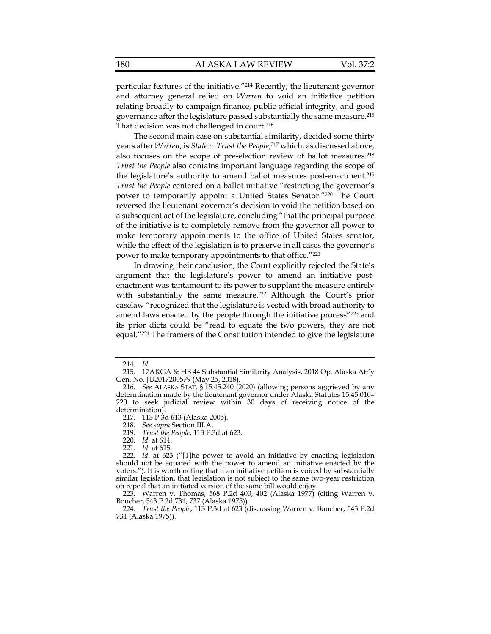particular features of the initiative."214 Recently, the lieutenant governor and attorney general relied on *Warren* to void an initiative petition relating broadly to campaign finance, public official integrity, and good governance after the legislature passed substantially the same measure.215 That decision was not challenged in court.<sup>216</sup>

The second main case on substantial similarity, decided some thirty years after *Warren*, is *State v. Trust the People*, 217 which, as discussed above, also focuses on the scope of pre-election review of ballot measures.<sup>218</sup> *Trust the People* also contains important language regarding the scope of the legislature's authority to amend ballot measures post-enactment.<sup>219</sup> *Trust the People* centered on a ballot initiative "restricting the governor's power to temporarily appoint a United States Senator."220 The Court reversed the lieutenant governor's decision to void the petition based on a subsequent act of the legislature, concluding "that the principal purpose of the initiative is to completely remove from the governor all power to make temporary appointments to the office of United States senator, while the effect of the legislation is to preserve in all cases the governor's power to make temporary appointments to that office."221

In drawing their conclusion, the Court explicitly rejected the State's argument that the legislature's power to amend an initiative postenactment was tantamount to its power to supplant the measure entirely with substantially the same measure.<sup>222</sup> Although the Court's prior caselaw "recognized that the legislature is vested with broad authority to amend laws enacted by the people through the initiative process"<sup>223</sup> and its prior dicta could be "read to equate the two powers, they are not equal."224 The framers of the Constitution intended to give the legislature

 <sup>214.</sup> *Id.*

 <sup>215. 17</sup>AKGA & HB 44 Substantial Similarity Analysis, 2018 Op. Alaska Att'y Gen. No. JU2017200579 (May 25, 2018).

 <sup>216.</sup> *See* ALASKA STAT. § 15.45.240 (2020) (allowing persons aggrieved by any determination made by the lieutenant governor under Alaska Statutes 15.45.010– 220 to seek judicial review within 30 days of receiving notice of the determination).

 <sup>217. 113</sup> P.3d 613 (Alaska 2005).

 <sup>218.</sup> *See supra* Section III.A.

 <sup>219.</sup> *Trust the People*, 113 P.3d at 623.

 <sup>220.</sup> *Id.* at 614.

 <sup>221.</sup> *Id.* at 615.

 <sup>222.</sup> *Id.* at 623 ("[T]he power to avoid an initiative by enacting legislation should not be equated with the power to amend an initiative enacted by the voters."). It is worth noting that if an initiative petition is voiced by substantially similar legislation, that legislation is not subject to the same two-year restriction on repeal that an initiated version of the same bill would enjoy.

 <sup>223.</sup> Warren v. Thomas, 568 P.2d 400, 402 (Alaska 1977) (citing Warren v. Boucher, 543 P.2d 731, 737 (Alaska 1975)).

 <sup>224.</sup> *Trust the People*, 113 P.3d at 623 (discussing Warren v. Boucher, 543 P.2d 731 (Alaska 1975)).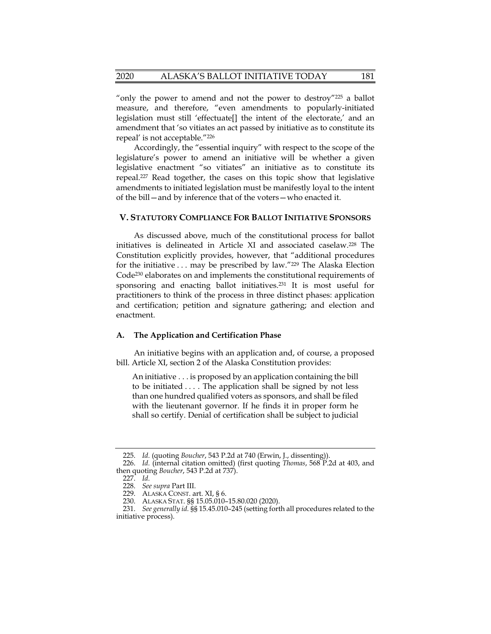"only the power to amend and not the power to destroy"<sup>225</sup> a ballot measure, and therefore, "even amendments to popularly-initiated legislation must still 'effectuate[] the intent of the electorate,' and an amendment that 'so vitiates an act passed by initiative as to constitute its repeal' is not acceptable."226

Accordingly, the "essential inquiry" with respect to the scope of the legislature's power to amend an initiative will be whether a given legislative enactment "so vitiates" an initiative as to constitute its repeal.227 Read together, the cases on this topic show that legislative amendments to initiated legislation must be manifestly loyal to the intent of the bill—and by inference that of the voters—who enacted it.

## **V. STATUTORY COMPLIANCE FOR BALLOT INITIATIVE SPONSORS**

As discussed above, much of the constitutional process for ballot initiatives is delineated in Article XI and associated caselaw.228 The Constitution explicitly provides, however, that "additional procedures for the initiative . . . may be prescribed by law."229 The Alaska Election Code230 elaborates on and implements the constitutional requirements of sponsoring and enacting ballot initiatives.231 It is most useful for practitioners to think of the process in three distinct phases: application and certification; petition and signature gathering; and election and enactment.

## **A. The Application and Certification Phase**

An initiative begins with an application and, of course, a proposed bill. Article XI, section 2 of the Alaska Constitution provides:

An initiative . . . is proposed by an application containing the bill to be initiated . . . . The application shall be signed by not less than one hundred qualified voters as sponsors, and shall be filed with the lieutenant governor. If he finds it in proper form he shall so certify. Denial of certification shall be subject to judicial

 <sup>225.</sup> *Id.* (quoting *Boucher*, 543 P.2d at 740 (Erwin, J., dissenting)).

 <sup>226.</sup> *Id.* (internal citation omitted) (first quoting *Thomas*, 568 P.2d at 403, and then quoting *Boucher*, 543 P.2d at 737).

 <sup>227.</sup> *Id.*

 <sup>228.</sup> *See supra* Part III.

 <sup>229.</sup> ALASKA CONST. art. XI, § 6.

 <sup>230.</sup> ALASKA STAT. §§ 15.05.010–15.80.020 (2020).

 <sup>231.</sup> *See generally id.* §§ 15.45.010–245 (setting forth all procedures related to the initiative process).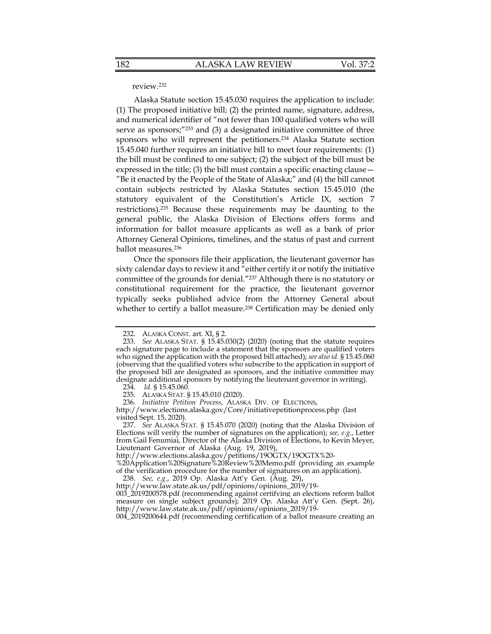## review.232

Alaska Statute section 15.45.030 requires the application to include: (1) The proposed initiative bill; (2) the printed name, signature, address, and numerical identifier of "not fewer than 100 qualified voters who will serve as sponsors;"<sup>233</sup> and (3) a designated initiative committee of three sponsors who will represent the petitioners.234 Alaska Statute section 15.45.040 further requires an initiative bill to meet four requirements: (1) the bill must be confined to one subject; (2) the subject of the bill must be expressed in the title; (3) the bill must contain a specific enacting clause— "Be it enacted by the People of the State of Alaska;" and (4) the bill cannot contain subjects restricted by Alaska Statutes section 15.45.010 (the statutory equivalent of the Constitution's Article IX, section 7 restrictions).235 Because these requirements may be daunting to the general public, the Alaska Division of Elections offers forms and information for ballot measure applicants as well as a bank of prior Attorney General Opinions, timelines, and the status of past and current ballot measures.236

Once the sponsors file their application, the lieutenant governor has sixty calendar days to review it and "either certify it or notify the initiative committee of the grounds for denial."237 Although there is no statutory or constitutional requirement for the practice, the lieutenant governor typically seeks published advice from the Attorney General about whether to certify a ballot measure.<sup>238</sup> Certification may be denied only

http://www.elections.alaska.gov/Core/initiativepetitionprocess.php (last visited Sept. 15, 2020).

http://www.elections.alaska.gov/petitions/19OGTX/19OGTX%20-

%20Application%20Signature%20Review%20Memo.pdf (providing an example of the verification procedure for the number of signatures on an application).

238. *See, e.g.*, 2019 Op. Alaska Att'y Gen. (Aug. 29),

004\_2019200644.pdf (recommending certification of a ballot measure creating an

 <sup>232.</sup> ALASKA CONST. art. XI, § 2.

 <sup>233.</sup> *See* ALASKA STAT. § 15.45.030(2) (2020) (noting that the statute requires each signature page to include a statement that the sponsors are qualified voters who signed the application with the proposed bill attached); *see also id.* § 15.45.060 (observing that the qualified voters who subscribe to the application in support of the proposed bill are designated as sponsors, and the initiative committee may designate additional sponsors by notifying the lieutenant governor in writing).

 <sup>234.</sup> *Id.* § 15.45.060.

 <sup>235.</sup> ALASKA STAT. § 15.45.010 (2020).

 <sup>236.</sup> *Initiative Petition Process*, ALASKA DIV. OF ELECTIONS,

 <sup>237.</sup> *See* ALASKA STAT. § 15.45.070 (2020) (noting that the Alaska Division of Elections will verify the number of signatures on the application); *see, e.g.*, Letter from Gail Fenumiai, Director of the Alaska Division of Elections, to Kevin Meyer, Lieutenant Governor of Alaska (Aug. 19, 2019),

http://www.law.state.ak.us/pdf/opinions/opinions\_2019/19- 003\_2019200578.pdf (recommending against certifying an elections reform ballot measure on single subject grounds); 2019 Op. Alaska Att'y Gen. (Sept. 26), http://www.law.state.ak.us/pdf/opinions/opinions\_2019/19-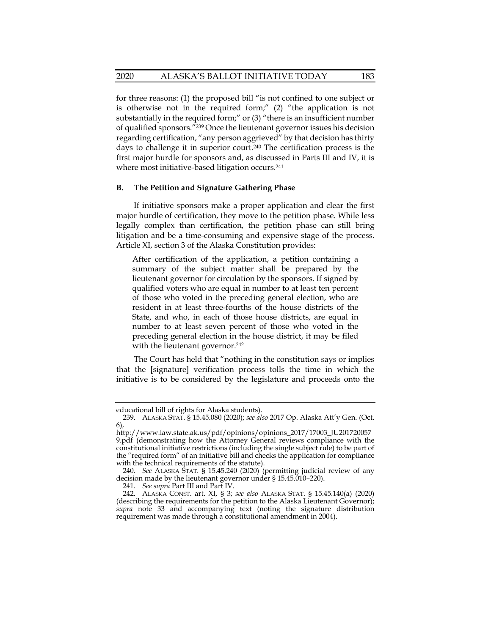for three reasons: (1) the proposed bill "is not confined to one subject or is otherwise not in the required form;" (2) "the application is not substantially in the required form;" or (3) "there is an insufficient number of qualified sponsors."239 Once the lieutenant governor issues his decision regarding certification, "any person aggrieved" by that decision has thirty days to challenge it in superior court.<sup>240</sup> The certification process is the first major hurdle for sponsors and, as discussed in Parts III and IV, it is where most initiative-based litigation occurs.<sup>241</sup>

#### **B. The Petition and Signature Gathering Phase**

If initiative sponsors make a proper application and clear the first major hurdle of certification, they move to the petition phase. While less legally complex than certification, the petition phase can still bring litigation and be a time-consuming and expensive stage of the process. Article XI, section 3 of the Alaska Constitution provides:

After certification of the application, a petition containing a summary of the subject matter shall be prepared by the lieutenant governor for circulation by the sponsors. If signed by qualified voters who are equal in number to at least ten percent of those who voted in the preceding general election, who are resident in at least three-fourths of the house districts of the State, and who, in each of those house districts, are equal in number to at least seven percent of those who voted in the preceding general election in the house district, it may be filed with the lieutenant governor.<sup>242</sup>

The Court has held that "nothing in the constitution says or implies that the [signature] verification process tolls the time in which the initiative is to be considered by the legislature and proceeds onto the

educational bill of rights for Alaska students).

 <sup>239.</sup> ALASKA STAT. § 15.45.080 (2020); *see also* 2017 Op. Alaska Att'y Gen. (Oct. 6),

http://www.law.state.ak.us/pdf/opinions/opinions\_2017/17003\_JU201720057 9.pdf (demonstrating how the Attorney General reviews compliance with the constitutional initiative restrictions (including the single subject rule) to be part of the "required form" of an initiative bill and checks the application for compliance with the technical requirements of the statute).

 <sup>240.</sup> *See* ALASKA STAT. § 15.45.240 (2020) (permitting judicial review of any decision made by the lieutenant governor under § 15.45.010–220).

 <sup>241.</sup> *See supra* Part III and Part IV.

 <sup>242.</sup> ALASKA CONST. art. XI, § 3; *see also* ALASKA STAT. § 15.45.140(a) (2020) (describing the requirements for the petition to the Alaska Lieutenant Governor); *supra* note 33 and accompanying text (noting the signature distribution requirement was made through a constitutional amendment in 2004).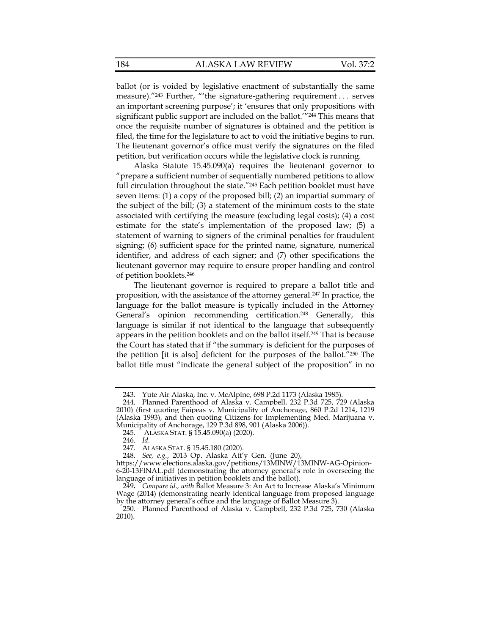ballot (or is voided by legislative enactment of substantially the same measure)."243 Further, "'the signature-gathering requirement . . . serves an important screening purpose'; it 'ensures that only propositions with significant public support are included on the ballot.'"<sup>244</sup> This means that once the requisite number of signatures is obtained and the petition is filed, the time for the legislature to act to void the initiative begins to run. The lieutenant governor's office must verify the signatures on the filed petition, but verification occurs while the legislative clock is running.

Alaska Statute 15.45.090(a) requires the lieutenant governor to "prepare a sufficient number of sequentially numbered petitions to allow full circulation throughout the state."<sup>245</sup> Each petition booklet must have seven items: (1) a copy of the proposed bill; (2) an impartial summary of the subject of the bill; (3) a statement of the minimum costs to the state associated with certifying the measure (excluding legal costs); (4) a cost estimate for the state's implementation of the proposed law; (5) a statement of warning to signers of the criminal penalties for fraudulent signing; (6) sufficient space for the printed name, signature, numerical identifier, and address of each signer; and (7) other specifications the lieutenant governor may require to ensure proper handling and control of petition booklets.246

The lieutenant governor is required to prepare a ballot title and proposition, with the assistance of the attorney general.<sup>247</sup> In practice, the language for the ballot measure is typically included in the Attorney General's opinion recommending certification.248 Generally, this language is similar if not identical to the language that subsequently appears in the petition booklets and on the ballot itself.249 That is because the Court has stated that if "the summary is deficient for the purposes of the petition [it is also] deficient for the purposes of the ballot."250 The ballot title must "indicate the general subject of the proposition" in no

 <sup>243.</sup> Yute Air Alaska, Inc. v. McAlpine, 698 P.2d 1173 (Alaska 1985).

 <sup>244.</sup> Planned Parenthood of Alaska v. Campbell, 232 P.3d 725, 729 (Alaska 2010) (first quoting Faipeas v. Municipality of Anchorage, 860 P.2d 1214, 1219 (Alaska 1993), and then quoting Citizens for Implementing Med. Marijuana v. Municipality of Anchorage, 129 P.3d 898, 901 (Alaska 2006)).

 <sup>245.</sup> ALASKA STAT. § 15.45.090(a) (2020).

 <sup>246.</sup> *Id.*

 <sup>247.</sup> ALASKA STAT. § 15.45.180 (2020).

 <sup>248.</sup> *See, e.g.*, 2013 Op. Alaska Att'y Gen. (June 20),

https://www.elections.alaska.gov/petitions/13MINW/13MINW-AG-Opinion-6-20-13FINAL.pdf (demonstrating the attorney general's role in overseeing the language of initiatives in petition booklets and the ballot).

<sup>249</sup>**.** *Compare id., with* Ballot Measure 3: An Act to Increase Alaska's Minimum Wage (2014) (demonstrating nearly identical language from proposed language by the attorney general's office and the language of Ballot Measure 3).

 <sup>250.</sup> Planned Parenthood of Alaska v. Campbell, 232 P.3d 725, 730 (Alaska 2010).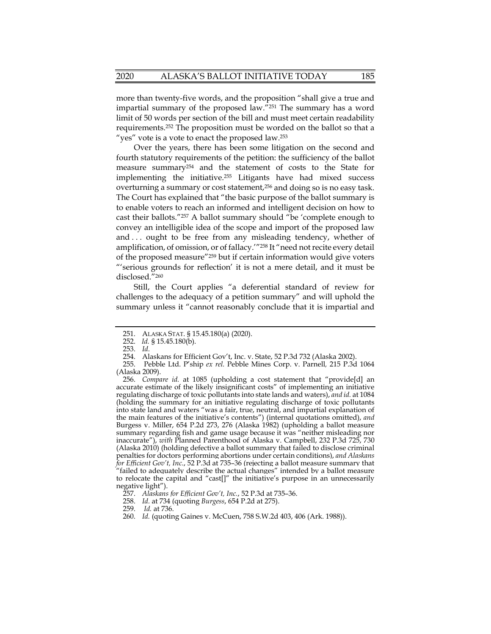more than twenty-five words, and the proposition "shall give a true and impartial summary of the proposed law."251 The summary has a word limit of 50 words per section of the bill and must meet certain readability requirements.252 The proposition must be worded on the ballot so that a "yes" vote is a vote to enact the proposed law.<sup>253</sup>

Over the years, there has been some litigation on the second and fourth statutory requirements of the petition: the sufficiency of the ballot measure summary254 and the statement of costs to the State for implementing the initiative.255 Litigants have had mixed success overturning a summary or cost statement,256 and doing so is no easy task. The Court has explained that "the basic purpose of the ballot summary is to enable voters to reach an informed and intelligent decision on how to cast their ballots."257 A ballot summary should "be 'complete enough to convey an intelligible idea of the scope and import of the proposed law and . . . ought to be free from any misleading tendency, whether of amplification, of omission, or of fallacy.'"258 It "need not recite every detail of the proposed measure"259 but if certain information would give voters "'serious grounds for reflection' it is not a mere detail, and it must be disclosed."260

Still, the Court applies "a deferential standard of review for challenges to the adequacy of a petition summary" and will uphold the summary unless it "cannot reasonably conclude that it is impartial and

 <sup>251.</sup> ALASKA STAT. § 15.45.180(a) (2020).

 <sup>252.</sup> *Id.* § 15.45.180(b).

 <sup>253.</sup> *Id.*

 <sup>254.</sup> Alaskans for Efficient Gov't, Inc. v. State, 52 P.3d 732 (Alaska 2002).

 <sup>255.</sup> Pebble Ltd. P'ship *ex rel.* Pebble Mines Corp. v. Parnell*,* 215 P.3d 1064 (Alaska 2009).

 <sup>256.</sup> *Compare id.* at 1085 (upholding a cost statement that "provide[d] an accurate estimate of the likely insignificant costs" of implementing an initiative regulating discharge of toxic pollutants into state lands and waters), *and id.* at 1084 (holding the summary for an initiative regulating discharge of toxic pollutants into state land and waters "was a fair, true, neutral, and impartial explanation of the main features of the initiative's contents") (internal quotations omitted), *and*  Burgess v. Miller, 654 P.2d 273, 276 (Alaska 1982) (upholding a ballot measure summary regarding fish and game usage because it was "neither misleading nor inaccurate"), *with* Planned Parenthood of Alaska v. Campbell, 232 P.3d 725, 730 (Alaska 2010) (holding defective a ballot summary that failed to disclose criminal penalties for doctors performing abortions under certain conditions), *and Alaskans for Efficient Gov't, Inc.*, 52 P.3d at 735–36 (rejecting a ballot measure summary that "failed to adequately describe the actual changes" intended by a ballot measure to relocate the capital and "cast[]" the initiative's purpose in an unnecessarily negative light").

 <sup>257.</sup> *Alaskans for Efficient Gov't, Inc.*, 52 P.3d at 735–36.

 <sup>258.</sup> *Id.* at 734 (quoting *Burgess*, 654 P.2d at 275).

 <sup>259.</sup> *Id.* at 736.

 <sup>260.</sup> *Id.* (quoting Gaines v. McCuen, 758 S.W.2d 403, 406 (Ark. 1988)).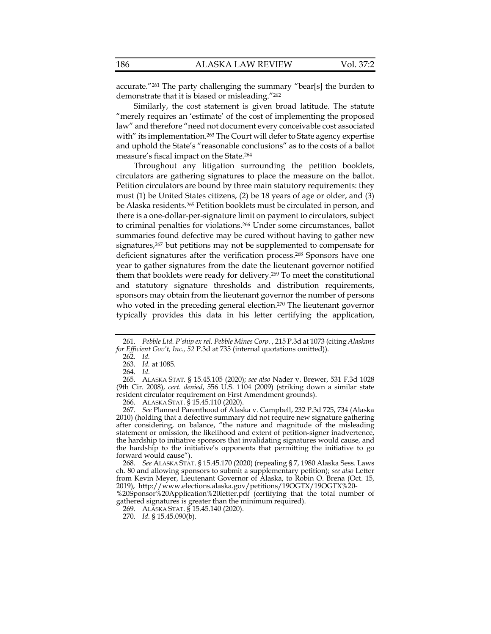|  | 186 | <b>ALASKA LAW REVIEW</b> | Vol. 37:2 |
|--|-----|--------------------------|-----------|
|--|-----|--------------------------|-----------|

accurate."261 The party challenging the summary "bear[s] the burden to demonstrate that it is biased or misleading."262

Similarly, the cost statement is given broad latitude. The statute "merely requires an 'estimate' of the cost of implementing the proposed law" and therefore "need not document every conceivable cost associated with" its implementation.<sup>263</sup> The Court will defer to State agency expertise and uphold the State's "reasonable conclusions" as to the costs of a ballot measure's fiscal impact on the State.264

Throughout any litigation surrounding the petition booklets, circulators are gathering signatures to place the measure on the ballot. Petition circulators are bound by three main statutory requirements: they must (1) be United States citizens, (2) be 18 years of age or older, and (3) be Alaska residents.265 Petition booklets must be circulated in person, and there is a one-dollar-per-signature limit on payment to circulators, subject to criminal penalties for violations.266 Under some circumstances, ballot summaries found defective may be cured without having to gather new signatures,267 but petitions may not be supplemented to compensate for deficient signatures after the verification process.268 Sponsors have one year to gather signatures from the date the lieutenant governor notified them that booklets were ready for delivery.<sup>269</sup> To meet the constitutional and statutory signature thresholds and distribution requirements, sponsors may obtain from the lieutenant governor the number of persons who voted in the preceding general election.<sup>270</sup> The lieutenant governor typically provides this data in his letter certifying the application,

 267. *See* Planned Parenthood of Alaska v. Campbell, 232 P.3d 725, 734 (Alaska 2010) (holding that a defective summary did not require new signature gathering after considering, on balance, "the nature and magnitude of the misleading statement or omission, the likelihood and extent of petition-signer inadvertence, the hardship to initiative sponsors that invalidating signatures would cause, and the hardship to the initiative's opponents that permitting the initiative to go forward would cause").

 268. *See* ALASKA STAT. § 15.45.170 (2020) (repealing § 7, 1980 Alaska Sess. Laws ch. 80 and allowing sponsors to submit a supplementary petition); *see also* Letter from Kevin Meyer, Lieutenant Governor of Alaska, to Robin O. Brena (Oct. 15, 2019), http://www.elections.alaska.gov/petitions/19OGTX/19OGTX%20-

%20Sponsor%20Application%20letter.pdf (certifying that the total number of gathered signatures is greater than the minimum required).

 <sup>261.</sup> *Pebble Ltd. P'ship ex rel. Pebble Mines Corp.* , 215 P.3d at 1073 (citing *Alaskans for Efficient Gov't, Inc., 52* P.3d at 735 (internal quotations omitted)).

<sup>262</sup>*. Id.*

 <sup>263.</sup> *Id.* at 1085.

 <sup>264.</sup> *Id.*

 <sup>265.</sup> ALASKA STAT. § 15.45.105 (2020); *see also* Nader v. Brewer, 531 F.3d 1028 (9th Cir. 2008), *cert. denied*, 556 U.S. 1104 (2009) (striking down a similar state resident circulator requirement on First Amendment grounds).

 <sup>266.</sup> ALASKA STAT. § 15.45.110 (2020).

 <sup>269.</sup> ALASKA STAT. § 15.45.140 (2020).

 <sup>270.</sup> *Id.* § 15.45.090(b).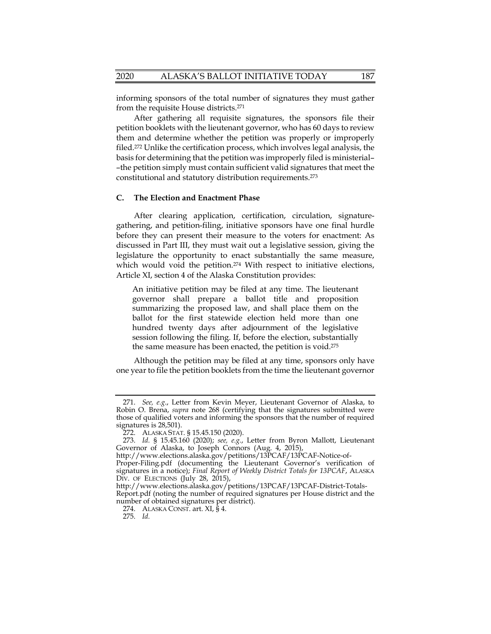informing sponsors of the total number of signatures they must gather from the requisite House districts.271

After gathering all requisite signatures, the sponsors file their petition booklets with the lieutenant governor, who has 60 days to review them and determine whether the petition was properly or improperly filed.272 Unlike the certification process, which involves legal analysis, the basis for determining that the petition was improperly filed is ministerial– –the petition simply must contain sufficient valid signatures that meet the constitutional and statutory distribution requirements.273

## **C. The Election and Enactment Phase**

After clearing application, certification, circulation, signaturegathering, and petition-filing, initiative sponsors have one final hurdle before they can present their measure to the voters for enactment: As discussed in Part III, they must wait out a legislative session, giving the legislature the opportunity to enact substantially the same measure, which would void the petition.<sup>274</sup> With respect to initiative elections, Article XI, section 4 of the Alaska Constitution provides:

An initiative petition may be filed at any time. The lieutenant governor shall prepare a ballot title and proposition summarizing the proposed law, and shall place them on the ballot for the first statewide election held more than one hundred twenty days after adjournment of the legislative session following the filing. If, before the election, substantially the same measure has been enacted, the petition is void.275

Although the petition may be filed at any time, sponsors only have one year to file the petition booklets from the time the lieutenant governor

 <sup>271.</sup> *See, e.g*., Letter from Kevin Meyer, Lieutenant Governor of Alaska, to Robin O. Brena, *supra* note 268 (certifying that the signatures submitted were those of qualified voters and informing the sponsors that the number of required signatures is 28,501).

 <sup>272.</sup> ALASKA STAT. § 15.45.150 (2020).

 <sup>273.</sup> *Id.* § 15.45.160 (2020); *see, e.g.*, Letter from Byron Mallott, Lieutenant Governor of Alaska, to Joseph Connors (Aug. 4, 2015),

http://www.elections.alaska.gov/petitions/13PCAF/13PCAF-Notice-of-

Proper-Filing.pdf (documenting the Lieutenant Governor's verification of signatures in a notice); *Final Report of Weekly District Totals for 13PCAF*, ALASKA DIV. OF ELECTIONS (July 28, 2015),

http://www.elections.alaska.gov/petitions/13PCAF/13PCAF-District-Totals-Report.pdf (noting the number of required signatures per House district and the number of obtained signatures per district).

<sup>274.</sup> ALASKA CONST. art.  $XI$ ,  $\S 4$ .

 <sup>275.</sup> *Id.*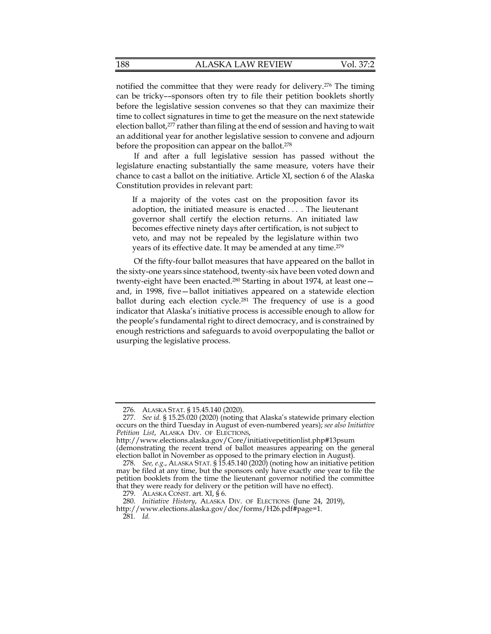notified the committee that they were ready for delivery.276 The timing can be tricky––sponsors often try to file their petition booklets shortly before the legislative session convenes so that they can maximize their time to collect signatures in time to get the measure on the next statewide election ballot,277 rather than filing at the end of session and having to wait an additional year for another legislative session to convene and adjourn before the proposition can appear on the ballot.<sup>278</sup>

If and after a full legislative session has passed without the legislature enacting substantially the same measure, voters have their chance to cast a ballot on the initiative. Article XI, section 6 of the Alaska Constitution provides in relevant part:

If a majority of the votes cast on the proposition favor its adoption, the initiated measure is enacted . . . . The lieutenant governor shall certify the election returns. An initiated law becomes effective ninety days after certification, is not subject to veto, and may not be repealed by the legislature within two years of its effective date. It may be amended at any time.279

Of the fifty-four ballot measures that have appeared on the ballot in the sixty-one years since statehood, twenty-six have been voted down and twenty-eight have been enacted.<sup>280</sup> Starting in about 1974, at least oneand, in 1998, five—ballot initiatives appeared on a statewide election ballot during each election cycle.<sup>281</sup> The frequency of use is a good indicator that Alaska's initiative process is accessible enough to allow for the people's fundamental right to direct democracy, and is constrained by enough restrictions and safeguards to avoid overpopulating the ballot or usurping the legislative process.

(demonstrating the recent trend of ballot measures appearing on the general election ballot in November as opposed to the primary election in August).

 <sup>276.</sup> ALASKA STAT. § 15.45.140 (2020).

 <sup>277.</sup> *See id.* § 15.25.020 (2020) (noting that Alaska's statewide primary election occurs on the third Tuesday in August of even-numbered years); *see also Initiative Petition List*, ALASKA DIV. OF ELECTIONS,

http://www.elections.alaska.gov/Core/initiativepetitionlist.php#13psum

 <sup>278.</sup> *See, e.g.*, ALASKA STAT. § 15.45.140 (2020) (noting how an initiative petition may be filed at any time, but the sponsors only have exactly one year to file the petition booklets from the time the lieutenant governor notified the committee that they were ready for delivery or the petition will have no effect).

 <sup>279.</sup> ALASKA CONST. art. XI, § 6.

 <sup>280.</sup> *Initiative History*, ALASKA DIV. OF ELECTIONS (June 24, 2019), http://www.elections.alaska.gov/doc/forms/H26.pdf#page=1.

<sup>281</sup>*. Id.*